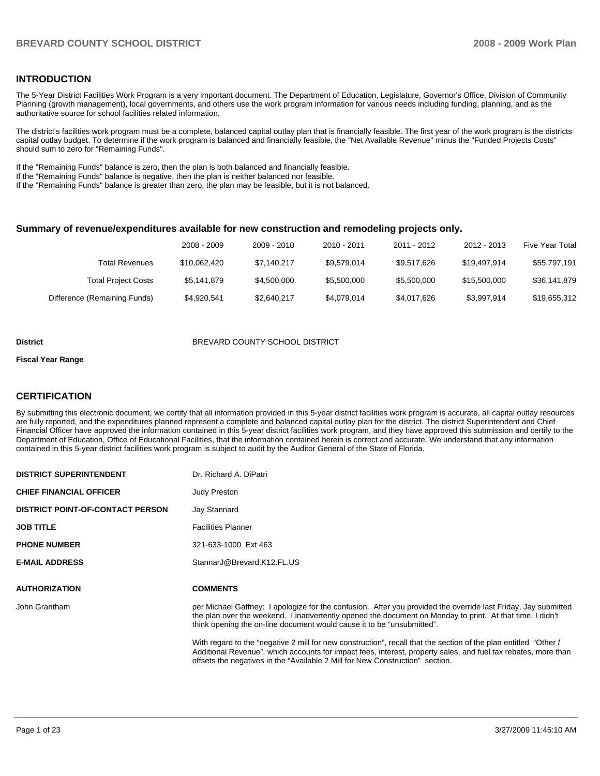#### **INTRODUCTION**

The 5-Year District Facilities Work Program is a very important document. The Department of Education, Legislature, Governor's Office, Division of Community Planning (growth management), local governments, and others use the work program information for various needs including funding, planning, and as the authoritative source for school facilities related information.

The district's facilities work program must be a complete, balanced capital outlay plan that is financially feasible. The first year of the work program is the districts capital outlay budget. To determine if the work program is balanced and financially feasible, the "Net Available Revenue" minus the "Funded Projects Costs" should sum to zero for "Remaining Funds".

If the "Remaining Funds" balance is zero, then the plan is both balanced and financially feasible.

If the "Remaining Funds" balance is negative, then the plan is neither balanced nor feasible.

If the "Remaining Funds" balance is greater than zero, the plan may be feasible, but it is not balanced.

#### **Summary of revenue/expenditures available for new construction and remodeling projects only.**

|                              | 2008 - 2009  | 2009 - 2010 | 2010 - 2011 | 2011 - 2012 | 2012 - 2013  | <b>Five Year Total</b> |
|------------------------------|--------------|-------------|-------------|-------------|--------------|------------------------|
| Total Revenues               | \$10.062.420 | \$7,140,217 | \$9,579,014 | \$9,517,626 | \$19.497.914 | \$55,797,191           |
| <b>Total Project Costs</b>   | \$5.141.879  | \$4,500,000 | \$5,500,000 | \$5,500,000 | \$15,500,000 | \$36,141,879           |
| Difference (Remaining Funds) | \$4,920,541  | \$2,640,217 | \$4,079,014 | \$4,017,626 | \$3,997,914  | \$19,655,312           |

#### **District COUNTY SCHOOL DISTRICT**

#### **Fiscal Year Range**

#### **CERTIFICATION**

By submitting this electronic document, we certify that all information provided in this 5-year district facilities work program is accurate, all capital outlay resources are fully reported, and the expenditures planned represent a complete and balanced capital outlay plan for the district. The district Superintendent and Chief Financial Officer have approved the information contained in this 5-year district facilities work program, and they have approved this submission and certify to the Department of Education, Office of Educational Facilities, that the information contained herein is correct and accurate. We understand that any information contained in this 5-year district facilities work program is subject to audit by the Auditor General of the State of Florida.

| <b>DISTRICT SUPERINTENDENT</b>          | Dr. Richard A. DiPatri                                                                                                                                                                                                                                                                                              |
|-----------------------------------------|---------------------------------------------------------------------------------------------------------------------------------------------------------------------------------------------------------------------------------------------------------------------------------------------------------------------|
| <b>CHIEF FINANCIAL OFFICER</b>          | <b>Judy Preston</b>                                                                                                                                                                                                                                                                                                 |
| <b>DISTRICT POINT-OF-CONTACT PERSON</b> | Jay Stannard                                                                                                                                                                                                                                                                                                        |
| <b>JOB TITLE</b>                        | <b>Facilities Planner</b>                                                                                                                                                                                                                                                                                           |
| <b>PHONE NUMBER</b>                     | 321-633-1000 Ext 463                                                                                                                                                                                                                                                                                                |
| <b>E-MAIL ADDRESS</b>                   | StannarJ@Brevard.K12.FL.US                                                                                                                                                                                                                                                                                          |
| <b>AUTHORIZATION</b>                    | <b>COMMENTS</b>                                                                                                                                                                                                                                                                                                     |
| John Grantham                           | per Michael Gaffney: I apologize for the confusion. After you provided the override last Friday, Jay submitted<br>the plan over the weekend. I inadvertently opened the document on Monday to print. At that time, I didn't<br>think opening the on-line document would cause it to be "unsubmitted".               |
|                                         | With regard to the "negative 2 mill for new construction", recall that the section of the plan entitled "Other /<br>Additional Revenue", which accounts for impact fees, interest, property sales, and fuel tax rebates, more than<br>offsets the negatives in the "Available 2 Mill for New Construction" section. |
|                                         |                                                                                                                                                                                                                                                                                                                     |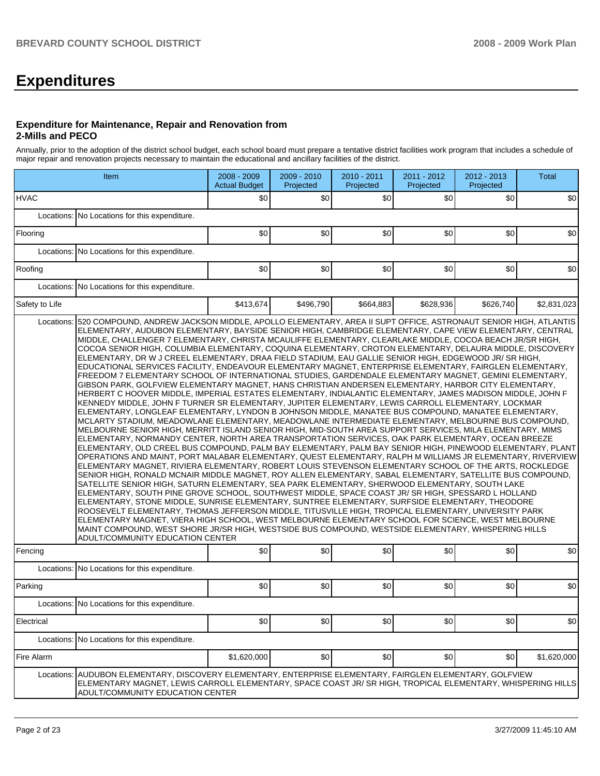# **Expenditures**

#### **Expenditure for Maintenance, Repair and Renovation from 2-Mills and PECO**

Annually, prior to the adoption of the district school budget, each school board must prepare a tentative district facilities work program that includes a schedule of major repair and renovation projects necessary to maintain the educational and ancillary facilities of the district.

| Item           |                                                                                                                                                                                                                                                                                                                                                                                                                                                                                                                                                                                                                                                                                                                                                                                                                                                                                                                                                                                                                                                                                                                                                                                                                                                                                                                                                                                                                                                                                                                                                                                                                                                                                                                                                                                                                                                                                                                                                                                                                                                                                                                                                                                                                                                                                                                                                                                                                                                                                                                                                     | 2008 - 2009<br><b>Actual Budget</b> | 2009 - 2010<br>Projected | 2010 - 2011<br>Projected | 2011 - 2012<br>Projected | 2012 - 2013<br>Projected | <b>Total</b> |
|----------------|-----------------------------------------------------------------------------------------------------------------------------------------------------------------------------------------------------------------------------------------------------------------------------------------------------------------------------------------------------------------------------------------------------------------------------------------------------------------------------------------------------------------------------------------------------------------------------------------------------------------------------------------------------------------------------------------------------------------------------------------------------------------------------------------------------------------------------------------------------------------------------------------------------------------------------------------------------------------------------------------------------------------------------------------------------------------------------------------------------------------------------------------------------------------------------------------------------------------------------------------------------------------------------------------------------------------------------------------------------------------------------------------------------------------------------------------------------------------------------------------------------------------------------------------------------------------------------------------------------------------------------------------------------------------------------------------------------------------------------------------------------------------------------------------------------------------------------------------------------------------------------------------------------------------------------------------------------------------------------------------------------------------------------------------------------------------------------------------------------------------------------------------------------------------------------------------------------------------------------------------------------------------------------------------------------------------------------------------------------------------------------------------------------------------------------------------------------------------------------------------------------------------------------------------------------|-------------------------------------|--------------------------|--------------------------|--------------------------|--------------------------|--------------|
| <b>HVAC</b>    |                                                                                                                                                                                                                                                                                                                                                                                                                                                                                                                                                                                                                                                                                                                                                                                                                                                                                                                                                                                                                                                                                                                                                                                                                                                                                                                                                                                                                                                                                                                                                                                                                                                                                                                                                                                                                                                                                                                                                                                                                                                                                                                                                                                                                                                                                                                                                                                                                                                                                                                                                     | \$0                                 | \$0                      | \$0                      | \$0                      | \$0                      | \$0          |
|                | Locations: No Locations for this expenditure.                                                                                                                                                                                                                                                                                                                                                                                                                                                                                                                                                                                                                                                                                                                                                                                                                                                                                                                                                                                                                                                                                                                                                                                                                                                                                                                                                                                                                                                                                                                                                                                                                                                                                                                                                                                                                                                                                                                                                                                                                                                                                                                                                                                                                                                                                                                                                                                                                                                                                                       |                                     |                          |                          |                          |                          |              |
| Flooring       |                                                                                                                                                                                                                                                                                                                                                                                                                                                                                                                                                                                                                                                                                                                                                                                                                                                                                                                                                                                                                                                                                                                                                                                                                                                                                                                                                                                                                                                                                                                                                                                                                                                                                                                                                                                                                                                                                                                                                                                                                                                                                                                                                                                                                                                                                                                                                                                                                                                                                                                                                     | \$0                                 | \$0                      | \$0                      | \$0                      | \$0                      | \$0          |
|                | Locations: No Locations for this expenditure.                                                                                                                                                                                                                                                                                                                                                                                                                                                                                                                                                                                                                                                                                                                                                                                                                                                                                                                                                                                                                                                                                                                                                                                                                                                                                                                                                                                                                                                                                                                                                                                                                                                                                                                                                                                                                                                                                                                                                                                                                                                                                                                                                                                                                                                                                                                                                                                                                                                                                                       |                                     |                          |                          |                          |                          |              |
| Roofing        |                                                                                                                                                                                                                                                                                                                                                                                                                                                                                                                                                                                                                                                                                                                                                                                                                                                                                                                                                                                                                                                                                                                                                                                                                                                                                                                                                                                                                                                                                                                                                                                                                                                                                                                                                                                                                                                                                                                                                                                                                                                                                                                                                                                                                                                                                                                                                                                                                                                                                                                                                     | \$0                                 | \$0                      | \$0                      | \$0                      | \$0                      | \$0          |
|                | Locations: No Locations for this expenditure.                                                                                                                                                                                                                                                                                                                                                                                                                                                                                                                                                                                                                                                                                                                                                                                                                                                                                                                                                                                                                                                                                                                                                                                                                                                                                                                                                                                                                                                                                                                                                                                                                                                                                                                                                                                                                                                                                                                                                                                                                                                                                                                                                                                                                                                                                                                                                                                                                                                                                                       |                                     |                          |                          |                          |                          |              |
| Safety to Life |                                                                                                                                                                                                                                                                                                                                                                                                                                                                                                                                                                                                                                                                                                                                                                                                                                                                                                                                                                                                                                                                                                                                                                                                                                                                                                                                                                                                                                                                                                                                                                                                                                                                                                                                                                                                                                                                                                                                                                                                                                                                                                                                                                                                                                                                                                                                                                                                                                                                                                                                                     | \$413.674                           | \$496,790                | \$664,883                | \$628,936                | \$626,740                | \$2.831.023  |
|                | ELEMENTARY, AUDUBON ELEMENTARY, BAYSIDE SENIOR HIGH, CAMBRIDGE ELEMENTARY, CAPE VIEW ELEMENTARY, CENTRAL<br>MIDDLE, CHALLENGER 7 ELEMENTARY, CHRISTA MCAULIFFE ELEMENTARY, CLEARLAKE MIDDLE, COCOA BEACH JR/SR HIGH,<br>COCOA SENIOR HIGH, COLUMBIA ELEMENTARY, COQUINA ELEMENTARY, CROTON ELEMENTARY, DELAURA MIDDLE, DISCOVERY<br>ELEMENTARY, DR W J CREEL ELEMENTARY, DRAA FIELD STADIUM, EAU GALLIE SENIOR HIGH, EDGEWOOD JR/ SR HIGH,<br>EDUCATIONAL SERVICES FACILITY, ENDEAVOUR ELEMENTARY MAGNET, ENTERPRISE ELEMENTARY, FAIRGLEN ELEMENTARY,<br>FREEDOM 7 ELEMENTARY SCHOOL OF INTERNATIONAL STUDIES, GARDENDALE ELEMENTARY MAGNET, GEMINI ELEMENTARY,<br>GIBSON PARK, GOLFVIEW ELEMENTARY MAGNET, HANS CHRISTIAN ANDERSEN ELEMENTARY, HARBOR CITY ELEMENTARY,<br>HERBERT C HOOVER MIDDLE, IMPERIAL ESTATES ELEMENTARY, INDIALANTIC ELEMENTARY, JAMES MADISON MIDDLE, JOHN F<br>KENNEDY MIDDLE, JOHN F TURNER SR ELEMENTARY, JUPITER ELEMENTARY, LEWIS CARROLL ELEMENTARY, LOCKMAR<br>ELEMENTARY, LONGLEAF ELEMENTARY, LYNDON B JOHNSON MIDDLE, MANATEE BUS COMPOUND, MANATEE ELEMENTARY,<br>MCLARTY STADIUM, MEADOWLANE ELEMENTARY, MEADOWLANE INTERMEDIATE ELEMENTARY, MELBOURNE BUS COMPOUND,<br>MELBOURNE SENIOR HIGH, MERRITT ISLAND SENIOR HIGH, MID-SOUTH AREA SUPPORT SERVICES, MILA ELEMENTARY, MIMS<br>ELEMENTARY, NORMANDY CENTER, NORTH AREA TRANSPORTATION SERVICES, OAK PARK ELEMENTARY, OCEAN BREEZE<br>IELEMENTARY, OLD CREEL BUS COMPOUND, PALM BAY ELEMENTARY, PALM BAY SENIOR HIGH, PINEWOOD ELEMENTARY, PLANT<br>OPERATIONS AND MAINT, PORT MALABAR ELEMENTARY, QUEST ELEMENTARY, RALPH M WILLIAMS JR ELEMENTARY, RIVERVIEW<br>ELEMENTARY MAGNET, RIVIERA ELEMENTARY, ROBERT LOUIS STEVENSON ELEMENTARY SCHOOL OF THE ARTS, ROCKLEDGE<br>SENIOR HIGH, RONALD MCNAIR MIDDLE MAGNET, ROY ALLEN ELEMENTARY, SABAL ELEMENTARY, SATELLITE BUS COMPOUND,<br>SATELLITE SENIOR HIGH, SATURN ELEMENTARY, SEA PARK ELEMENTARY, SHERWOOD ELEMENTARY, SOUTH LAKE<br>ELEMENTARY, SOUTH PINE GROVE SCHOOL, SOUTHWEST MIDDLE, SPACE COAST JR/ SR HIGH, SPESSARD L HOLLAND<br>ELEMENTARY, STONE MIDDLE, SUNRISE ELEMENTARY, SUNTREE ELEMENTARY, SURFSIDE ELEMENTARY, THEODORE<br>ROOSEVELT ELEMENTARY, THOMAS JEFFERSON MIDDLE, TITUSVILLE HIGH, TROPICAL ELEMENTARY, UNIVERSITY PARK<br>ELEMENTARY MAGNET, VIERA HIGH SCHOOL, WEST MELBOURNE ELEMENTARY SCHOOL FOR SCIENCE, WEST MELBOURNE<br>MAINT COMPOUND, WEST SHORE JR/SR HIGH, WESTSIDE BUS COMPOUND, WESTSIDE ELEMENTARY, WHISPERING HILLS<br>ADULT/COMMUNITY EDUCATION CENTER |                                     |                          |                          |                          |                          |              |
| Fencing        |                                                                                                                                                                                                                                                                                                                                                                                                                                                                                                                                                                                                                                                                                                                                                                                                                                                                                                                                                                                                                                                                                                                                                                                                                                                                                                                                                                                                                                                                                                                                                                                                                                                                                                                                                                                                                                                                                                                                                                                                                                                                                                                                                                                                                                                                                                                                                                                                                                                                                                                                                     | \$0                                 | \$0                      | \$0                      | \$0                      | \$0                      | \$0          |
|                | Locations: No Locations for this expenditure.                                                                                                                                                                                                                                                                                                                                                                                                                                                                                                                                                                                                                                                                                                                                                                                                                                                                                                                                                                                                                                                                                                                                                                                                                                                                                                                                                                                                                                                                                                                                                                                                                                                                                                                                                                                                                                                                                                                                                                                                                                                                                                                                                                                                                                                                                                                                                                                                                                                                                                       |                                     |                          |                          |                          |                          |              |
| Parking        |                                                                                                                                                                                                                                                                                                                                                                                                                                                                                                                                                                                                                                                                                                                                                                                                                                                                                                                                                                                                                                                                                                                                                                                                                                                                                                                                                                                                                                                                                                                                                                                                                                                                                                                                                                                                                                                                                                                                                                                                                                                                                                                                                                                                                                                                                                                                                                                                                                                                                                                                                     | \$0                                 | \$0                      | \$0                      | \$0                      | \$0                      | \$0          |
|                | Locations: No Locations for this expenditure.                                                                                                                                                                                                                                                                                                                                                                                                                                                                                                                                                                                                                                                                                                                                                                                                                                                                                                                                                                                                                                                                                                                                                                                                                                                                                                                                                                                                                                                                                                                                                                                                                                                                                                                                                                                                                                                                                                                                                                                                                                                                                                                                                                                                                                                                                                                                                                                                                                                                                                       |                                     |                          |                          |                          |                          |              |
| Electrical     |                                                                                                                                                                                                                                                                                                                                                                                                                                                                                                                                                                                                                                                                                                                                                                                                                                                                                                                                                                                                                                                                                                                                                                                                                                                                                                                                                                                                                                                                                                                                                                                                                                                                                                                                                                                                                                                                                                                                                                                                                                                                                                                                                                                                                                                                                                                                                                                                                                                                                                                                                     | \$0                                 | \$0                      | \$0                      | \$0                      | \$0                      | \$0          |
|                | Locations: No Locations for this expenditure.                                                                                                                                                                                                                                                                                                                                                                                                                                                                                                                                                                                                                                                                                                                                                                                                                                                                                                                                                                                                                                                                                                                                                                                                                                                                                                                                                                                                                                                                                                                                                                                                                                                                                                                                                                                                                                                                                                                                                                                                                                                                                                                                                                                                                                                                                                                                                                                                                                                                                                       |                                     |                          |                          |                          |                          |              |
| Fire Alarm     |                                                                                                                                                                                                                                                                                                                                                                                                                                                                                                                                                                                                                                                                                                                                                                                                                                                                                                                                                                                                                                                                                                                                                                                                                                                                                                                                                                                                                                                                                                                                                                                                                                                                                                                                                                                                                                                                                                                                                                                                                                                                                                                                                                                                                                                                                                                                                                                                                                                                                                                                                     | \$1,620,000                         | \$0                      | \$0                      | \$0                      | \$0                      | \$1,620,000  |
| Locations:     | AUDUBON ELEMENTARY, DISCOVERY ELEMENTARY, ENTERPRISE ELEMENTARY, FAIRGLEN ELEMENTARY, GOLFVIEW<br>ELEMENTARY MAGNET, LEWIS CARROLL ELEMENTARY, SPACE COAST JR/ SR HIGH, TROPICAL ELEMENTARY, WHISPERING HILLS<br>ADULT/COMMUNITY EDUCATION CENTER                                                                                                                                                                                                                                                                                                                                                                                                                                                                                                                                                                                                                                                                                                                                                                                                                                                                                                                                                                                                                                                                                                                                                                                                                                                                                                                                                                                                                                                                                                                                                                                                                                                                                                                                                                                                                                                                                                                                                                                                                                                                                                                                                                                                                                                                                                   |                                     |                          |                          |                          |                          |              |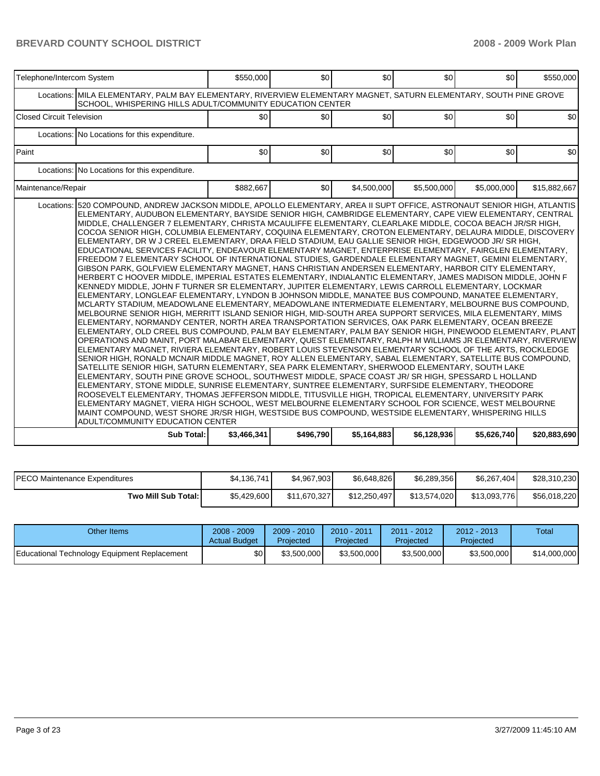| Telephone/Intercom System        |                                                                                                                                                                                                                                                                                                                                                                                                                                                                                                                                                                                                                                                                                                                                                                                                                                                                                                                                                                                                                                                                                                                                                                                                                                                                                                                                                                                                                                                                                                                                                                                                                                                                                                                                                                                                                                                                                                                                                                                                                                                                                                                                                                                                                                                                                                                                                                                                                                                                                                                                                                                                                                                                               | \$550,000   | \$0       | \$0         | \$0         | \$0         | \$550.000    |
|----------------------------------|-------------------------------------------------------------------------------------------------------------------------------------------------------------------------------------------------------------------------------------------------------------------------------------------------------------------------------------------------------------------------------------------------------------------------------------------------------------------------------------------------------------------------------------------------------------------------------------------------------------------------------------------------------------------------------------------------------------------------------------------------------------------------------------------------------------------------------------------------------------------------------------------------------------------------------------------------------------------------------------------------------------------------------------------------------------------------------------------------------------------------------------------------------------------------------------------------------------------------------------------------------------------------------------------------------------------------------------------------------------------------------------------------------------------------------------------------------------------------------------------------------------------------------------------------------------------------------------------------------------------------------------------------------------------------------------------------------------------------------------------------------------------------------------------------------------------------------------------------------------------------------------------------------------------------------------------------------------------------------------------------------------------------------------------------------------------------------------------------------------------------------------------------------------------------------------------------------------------------------------------------------------------------------------------------------------------------------------------------------------------------------------------------------------------------------------------------------------------------------------------------------------------------------------------------------------------------------------------------------------------------------------------------------------------------------|-------------|-----------|-------------|-------------|-------------|--------------|
|                                  | Locations: MILA ELEMENTARY, PALM BAY ELEMENTARY, RIVERVIEW ELEMENTARY MAGNET, SATURN ELEMENTARY, SOUTH PINE GROVE<br>SCHOOL, WHISPERING HILLS ADULT/COMMUNITY EDUCATION CENTER                                                                                                                                                                                                                                                                                                                                                                                                                                                                                                                                                                                                                                                                                                                                                                                                                                                                                                                                                                                                                                                                                                                                                                                                                                                                                                                                                                                                                                                                                                                                                                                                                                                                                                                                                                                                                                                                                                                                                                                                                                                                                                                                                                                                                                                                                                                                                                                                                                                                                                |             |           |             |             |             |              |
| <b>Closed Circuit Television</b> |                                                                                                                                                                                                                                                                                                                                                                                                                                                                                                                                                                                                                                                                                                                                                                                                                                                                                                                                                                                                                                                                                                                                                                                                                                                                                                                                                                                                                                                                                                                                                                                                                                                                                                                                                                                                                                                                                                                                                                                                                                                                                                                                                                                                                                                                                                                                                                                                                                                                                                                                                                                                                                                                               | \$0         | \$0       | \$0         | \$0         | \$0         | \$0          |
|                                  | Locations: No Locations for this expenditure.                                                                                                                                                                                                                                                                                                                                                                                                                                                                                                                                                                                                                                                                                                                                                                                                                                                                                                                                                                                                                                                                                                                                                                                                                                                                                                                                                                                                                                                                                                                                                                                                                                                                                                                                                                                                                                                                                                                                                                                                                                                                                                                                                                                                                                                                                                                                                                                                                                                                                                                                                                                                                                 |             |           |             |             |             |              |
| Paint                            |                                                                                                                                                                                                                                                                                                                                                                                                                                                                                                                                                                                                                                                                                                                                                                                                                                                                                                                                                                                                                                                                                                                                                                                                                                                                                                                                                                                                                                                                                                                                                                                                                                                                                                                                                                                                                                                                                                                                                                                                                                                                                                                                                                                                                                                                                                                                                                                                                                                                                                                                                                                                                                                                               | \$0         | \$0       | \$0         | \$0         | \$0         | \$0          |
|                                  | Locations: No Locations for this expenditure.                                                                                                                                                                                                                                                                                                                                                                                                                                                                                                                                                                                                                                                                                                                                                                                                                                                                                                                                                                                                                                                                                                                                                                                                                                                                                                                                                                                                                                                                                                                                                                                                                                                                                                                                                                                                                                                                                                                                                                                                                                                                                                                                                                                                                                                                                                                                                                                                                                                                                                                                                                                                                                 |             |           |             |             |             |              |
| Maintenance/Repair               |                                                                                                                                                                                                                                                                                                                                                                                                                                                                                                                                                                                                                                                                                                                                                                                                                                                                                                                                                                                                                                                                                                                                                                                                                                                                                                                                                                                                                                                                                                                                                                                                                                                                                                                                                                                                                                                                                                                                                                                                                                                                                                                                                                                                                                                                                                                                                                                                                                                                                                                                                                                                                                                                               | \$882,667   | \$0       | \$4,500,000 | \$5,500,000 | \$5,000,000 | \$15,882,667 |
|                                  | Locations: 520 COMPOUND, ANDREW JACKSON MIDDLE, APOLLO ELEMENTARY, AREA II SUPT OFFICE, ASTRONAUT SENIOR HIGH, ATLANTIS<br>ELEMENTARY, AUDUBON ELEMENTARY, BAYSIDE SENIOR HIGH, CAMBRIDGE ELEMENTARY, CAPE VIEW ELEMENTARY, CENTRAL<br>MIDDLE, CHALLENGER 7 ELEMENTARY, CHRISTA MCAULIFFE ELEMENTARY, CLEARLAKE MIDDLE, COCOA BEACH JR/SR HIGH,<br>COCOA SENIOR HIGH, COLUMBIA ELEMENTARY, COQUINA ELEMENTARY, CROTON ELEMENTARY, DELAURA MIDDLE, DISCOVERY<br>ELEMENTARY, DR W J CREEL ELEMENTARY, DRAA FIELD STADIUM, EAU GALLIE SENIOR HIGH, EDGEWOOD JR/ SR HIGH,<br>EDUCATIONAL SERVICES FACILITY, ENDEAVOUR ELEMENTARY MAGNET, ENTERPRISE ELEMENTARY, FAIRGLEN ELEMENTARY,<br>FREEDOM 7 ELEMENTARY SCHOOL OF INTERNATIONAL STUDIES, GARDENDALE ELEMENTARY MAGNET, GEMINI ELEMENTARY,<br>GIBSON PARK, GOLFVIEW ELEMENTARY MAGNET, HANS CHRISTIAN ANDERSEN ELEMENTARY, HARBOR CITY ELEMENTARY,<br>HERBERT C HOOVER MIDDLE, IMPERIAL ESTATES ELEMENTARY, INDIALANTIC ELEMENTARY, JAMES MADISON MIDDLE, JOHN F<br>KENNEDY MIDDLE, JOHN F TURNER SR ELEMENTARY, JUPITER ELEMENTARY, LEWIS CARROLL ELEMENTARY, LOCKMAR<br>ELEMENTARY, LONGLEAF ELEMENTARY, LYNDON B JOHNSON MIDDLE, MANATEE BUS COMPOUND, MANATEE ELEMENTARY,<br>MCLARTY STADIUM, MEADOWLANE ELEMENTARY, MEADOWLANE INTERMEDIATE ELEMENTARY, MELBOURNE BUS COMPOUND,<br>MELBOURNE SENIOR HIGH, MERRITT ISLAND SENIOR HIGH, MID-SOUTH AREA SUPPORT SERVICES, MILA ELEMENTARY, MIMS<br>ELEMENTARY, NORMANDY CENTER, NORTH AREA TRANSPORTATION SERVICES, OAK PARK ELEMENTARY, OCEAN BREEZE<br>ELEMENTARY, OLD CREEL BUS COMPOUND, PALM BAY ELEMENTARY, PALM BAY SENIOR HIGH, PINEWOOD ELEMENTARY, PLANT<br>OPERATIONS AND MAINT, PORT MALABAR ELEMENTARY, QUEST ELEMENTARY, RALPH M WILLIAMS JR ELEMENTARY, RIVERVIEW<br>ELEMENTARY MAGNET, RIVIERA ELEMENTARY, ROBERT LOUIS STEVENSON ELEMENTARY SCHOOL OF THE ARTS, ROCKLEDGE<br>SENIOR HIGH, RONALD MCNAIR MIDDLE MAGNET, ROY ALLEN ELEMENTARY, SABAL ELEMENTARY, SATELLITE BUS COMPOUND,<br>SATELLITE SENIOR HIGH, SATURN ELEMENTARY, SEA PARK ELEMENTARY, SHERWOOD ELEMENTARY, SOUTH LAKE<br>ELEMENTARY, SOUTH PINE GROVE SCHOOL, SOUTHWEST MIDDLE, SPACE COAST JR/ SR HIGH, SPESSARD L HOLLAND<br>ELEMENTARY, STONE MIDDLE, SUNRISE ELEMENTARY, SUNTREE ELEMENTARY, SURFSIDE ELEMENTARY, THEODORE<br>ROOSEVELT ELEMENTARY, THOMAS JEFFERSON MIDDLE, TITUSVILLE HIGH, TROPICAL ELEMENTARY, UNIVERSITY PARK<br>ELEMENTARY MAGNET, VIERA HIGH SCHOOL, WEST MELBOURNE ELEMENTARY SCHOOL FOR SCIENCE, WEST MELBOURNE<br>MAINT COMPOUND, WEST SHORE JR/SR HIGH, WESTSIDE BUS COMPOUND, WESTSIDE ELEMENTARY, WHISPERING HILLS<br>ADULT/COMMUNITY EDUCATION CENTER |             |           |             |             |             |              |
|                                  | Sub Total:                                                                                                                                                                                                                                                                                                                                                                                                                                                                                                                                                                                                                                                                                                                                                                                                                                                                                                                                                                                                                                                                                                                                                                                                                                                                                                                                                                                                                                                                                                                                                                                                                                                                                                                                                                                                                                                                                                                                                                                                                                                                                                                                                                                                                                                                                                                                                                                                                                                                                                                                                                                                                                                                    | \$3,466,341 | \$496,790 | \$5,164,883 | \$6,128,936 | \$5,626,740 | \$20,883,690 |

| IPECO Maintenance Expenditures | \$4,136,741 | \$4.967.903  | \$6.648.826  | \$6.289.356  | \$6,267,404  | \$28,310,230 |
|--------------------------------|-------------|--------------|--------------|--------------|--------------|--------------|
| Two Mill Sub Total:            | \$5,429,600 | \$11,670,327 | \$12,250,497 | \$13,574,020 | \$13,093,776 | \$56,018,220 |

| Other Items                                  | $2008 - 2009$<br><b>Actual Budget</b> | $2009 - 2010$<br>Projected | 2010 - 2011<br>Projected | 2011 - 2012<br>Proiected | $2012 - 2013$<br>Projected | Total        |
|----------------------------------------------|---------------------------------------|----------------------------|--------------------------|--------------------------|----------------------------|--------------|
| Educational Technology Equipment Replacement | \$0                                   | \$3,500,000                | \$3.500,000              | \$3,500,000              | \$3,500,000                | \$14,000,000 |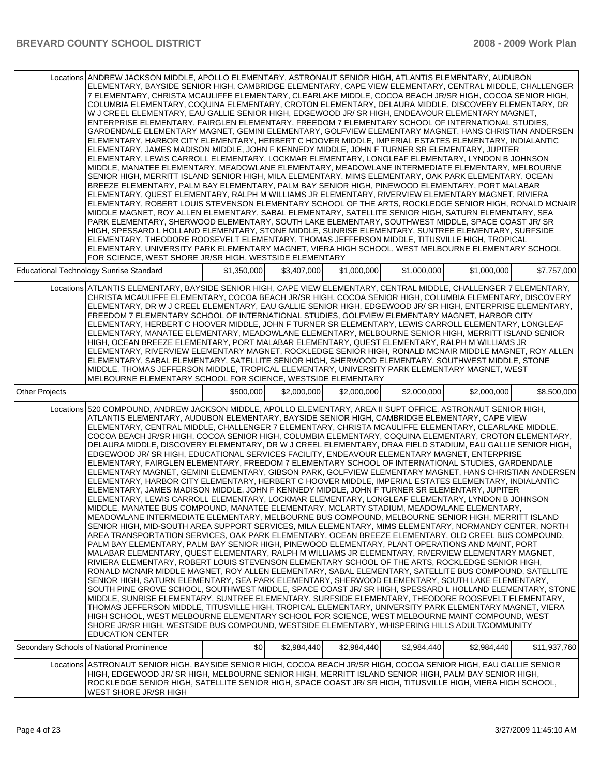|                       | Locations ANDREW JACKSON MIDDLE, APOLLO ELEMENTARY, ASTRONAUT SENIOR HIGH, ATLANTIS ELEMENTARY, AUDUBON<br>ELEMENTARY, BAYSIDE SENIOR HIGH, CAMBRIDGE ELEMENTARY, CAPE VIEW ELEMENTARY, CENTRAL MIDDLE, CHALLENGER<br>7 ELEMENTARY, CHRISTA MCAULIFFE ELEMENTARY, CLEARLAKE MIDDLE, COCOA BEACH JR/SR HIGH, COCOA SENIOR HIGH,<br>COLUMBIA ELEMENTARY, COQUINA ELEMENTARY, CROTON ELEMENTARY, DELAURA MIDDLE, DISCOVERY ELEMENTARY, DR<br>W J CREEL ELEMENTARY, EAU GALLIE SENIOR HIGH, EDGEWOOD JR/SR HIGH, ENDEAVOUR ELEMENTARY MAGNET,<br>ENTERPRISE ELEMENTARY, FAIRGLEN ELEMENTARY, FREEDOM 7 ELEMENTARY SCHOOL OF INTERNATIONAL STUDIES,<br>GARDENDALE ELEMENTARY MAGNET, GEMINI ELEMENTARY, GOLFVIEW ELEMENTARY MAGNET, HANS CHRISTIAN ANDERSEN<br>ELEMENTARY, HARBOR CITY ELEMENTARY, HERBERT C HOOVER MIDDLE, IMPERIAL ESTATES ELEMENTARY, INDIALANTIC<br>ELEMENTARY, JAMES MADISON MIDDLE, JOHN F KENNEDY MIDDLE, JOHN F TURNER SR ELEMENTARY, JUPITER<br>ELEMENTARY, LEWIS CARROLL ELEMENTARY, LOCKMAR ELEMENTARY, LONGLEAF ELEMENTARY, LYNDON B JOHNSON<br>MIDDLE, MANATEE ELEMENTARY, MEADOWLANE ELEMENTARY, MEADOWLANE INTERMEDIATE ELEMENTARY, MELBOURNE<br>SENIOR HIGH, MERRITT ISLAND SENIOR HIGH, MILA ELEMENTARY, MIMS ELEMENTARY, OAK PARK ELEMENTARY, OCEAN<br>BREEZE ELEMENTARY, PALM BAY ELEMENTARY, PALM BAY SENIOR HIGH, PINEWOOD ELEMENTARY, PORT MALABAR<br>ELEMENTARY, QUEST ELEMENTARY, RALPH M WILLIAMS JR ELEMENTARY, RIVERVIEW ELEMENTARY MAGNET, RIVIERA<br>ELEMENTARY, ROBERT LOUIS STEVENSON ELEMENTARY SCHOOL OF THE ARTS, ROCKLEDGE SENIOR HIGH, RONALD MCNAIR<br>MIDDLE MAGNET, ROY ALLEN ELEMENTARY, SABAL ELEMENTARY, SATELLITE SENIOR HIGH, SATURN ELEMENTARY, SEA<br>PARK ELEMENTARY, SHERWOOD ELEMENTARY, SOUTH LAKE ELEMENTARY, SOUTHWEST MIDDLE, SPACE COAST JR/ SR<br>HIGH, SPESSARD L HOLLAND ELEMENTARY, STONE MIDDLE, SUNRISE ELEMENTARY, SUNTREE ELEMENTARY, SURFSIDE<br>ELEMENTARY, THEODORE ROOSEVELT ELEMENTARY, THOMAS JEFFERSON MIDDLE, TITUSVILLE HIGH, TROPICAL<br>ELEMENTARY, UNIVERSITY PARK ELEMENTARY MAGNET, VIERA HIGH SCHOOL, WEST MELBOURNE ELEMENTARY SCHOOL<br>FOR SCIENCE, WEST SHORE JR/SR HIGH, WESTSIDE ELEMENTARY                                                                                                                                                                                                                                                                                                                                                                                                                                                                                              |             |             |             |             |             |              |
|-----------------------|----------------------------------------------------------------------------------------------------------------------------------------------------------------------------------------------------------------------------------------------------------------------------------------------------------------------------------------------------------------------------------------------------------------------------------------------------------------------------------------------------------------------------------------------------------------------------------------------------------------------------------------------------------------------------------------------------------------------------------------------------------------------------------------------------------------------------------------------------------------------------------------------------------------------------------------------------------------------------------------------------------------------------------------------------------------------------------------------------------------------------------------------------------------------------------------------------------------------------------------------------------------------------------------------------------------------------------------------------------------------------------------------------------------------------------------------------------------------------------------------------------------------------------------------------------------------------------------------------------------------------------------------------------------------------------------------------------------------------------------------------------------------------------------------------------------------------------------------------------------------------------------------------------------------------------------------------------------------------------------------------------------------------------------------------------------------------------------------------------------------------------------------------------------------------------------------------------------------------------------------------------------------------------------------------------------------------------------------------------------------------------------------------------------------------------------------------------------------------------------------------------------------------------------------------------------------------------------------------------------------------------------------------------------------------------------|-------------|-------------|-------------|-------------|-------------|--------------|
|                       | <b>Educational Technology Sunrise Standard</b>                                                                                                                                                                                                                                                                                                                                                                                                                                                                                                                                                                                                                                                                                                                                                                                                                                                                                                                                                                                                                                                                                                                                                                                                                                                                                                                                                                                                                                                                                                                                                                                                                                                                                                                                                                                                                                                                                                                                                                                                                                                                                                                                                                                                                                                                                                                                                                                                                                                                                                                                                                                                                                         | \$1,350,000 | \$3,407,000 | \$1,000,000 | \$1,000,000 | \$1,000,000 | \$7.757.000  |
|                       | Locations ATLANTIS ELEMENTARY, BAYSIDE SENIOR HIGH, CAPE VIEW ELEMENTARY, CENTRAL MIDDLE, CHALLENGER 7 ELEMENTARY,<br>CHRISTA MCAULIFFE ELEMENTARY, COCOA BEACH JR/SR HIGH, COCOA SENIOR HIGH, COLUMBIA ELEMENTARY, DISCOVERY<br>ELEMENTARY, DR W J CREEL ELEMENTARY, EAU GALLIE SENIOR HIGH, EDGEWOOD JR/ SR HIGH, ENTERPRISE ELEMENTARY,<br>FREEDOM 7 ELEMENTARY SCHOOL OF INTERNATIONAL STUDIES, GOLFVIEW ELEMENTARY MAGNET, HARBOR CITY<br>ELEMENTARY, HERBERT C HOOVER MIDDLE, JOHN F TURNER SR ELEMENTARY, LEWIS CARROLL ELEMENTARY, LONGLEAF<br>ELEMENTARY, MANATEE ELEMENTARY, MEADOWLANE ELEMENTARY, MELBOURNE SENIOR HIGH, MERRITT ISLAND SENIOR<br>HIGH, OCEAN BREEZE ELEMENTARY, PORT MALABAR ELEMENTARY, QUEST ELEMENTARY, RALPH M WILLIAMS JR<br>ELEMENTARY, RIVERVIEW ELEMENTARY MAGNET, ROCKLEDGE SENIOR HIGH, RONALD MCNAIR MIDDLE MAGNET, ROY ALLEN<br>ELEMENTARY, SABAL ELEMENTARY, SATELLITE SENIOR HIGH, SHERWOOD ELEMENTARY, SOUTHWEST MIDDLE, STONE<br>MIDDLE, THOMAS JEFFERSON MIDDLE, TROPICAL ELEMENTARY, UNIVERSITY PARK ELEMENTARY MAGNET, WEST<br>MELBOURNE ELEMENTARY SCHOOL FOR SCIENCE, WESTSIDE ELEMENTARY                                                                                                                                                                                                                                                                                                                                                                                                                                                                                                                                                                                                                                                                                                                                                                                                                                                                                                                                                                                                                                                                                                                                                                                                                                                                                                                                                                                                                                                                                                                                            |             |             |             |             |             |              |
| <b>Other Projects</b> |                                                                                                                                                                                                                                                                                                                                                                                                                                                                                                                                                                                                                                                                                                                                                                                                                                                                                                                                                                                                                                                                                                                                                                                                                                                                                                                                                                                                                                                                                                                                                                                                                                                                                                                                                                                                                                                                                                                                                                                                                                                                                                                                                                                                                                                                                                                                                                                                                                                                                                                                                                                                                                                                                        | \$500,000   | \$2,000,000 | \$2,000,000 | \$2,000,000 | \$2,000,000 | \$8,500,000  |
|                       | Locations 520 COMPOUND, ANDREW JACKSON MIDDLE, APOLLO ELEMENTARY, AREA II SUPT OFFICE, ASTRONAUT SENIOR HIGH,<br>ATLANTIS ELEMENTARY, AUDUBON ELEMENTARY, BAYSIDE SENIOR HIGH, CAMBRIDGE ELEMENTARY, CAPE VIEW<br>ELEMENTARY, CENTRAL MIDDLE, CHALLENGER 7 ELEMENTARY, CHRISTA MCAULIFFE ELEMENTARY, CLEARLAKE MIDDLE,<br>COCOA BEACH JR/SR HIGH, COCOA SENIOR HIGH, COLUMBIA ELEMENTARY, COQUINA ELEMENTARY, CROTON ELEMENTARY,<br>DELAURA MIDDLE, DISCOVERY ELEMENTARY, DR W J CREEL ELEMENTARY, DRAA FIELD STADIUM, EAU GALLIE SENIOR HIGH,<br>EDGEWOOD JR/ SR HIGH, EDUCATIONAL SERVICES FACILITY, ENDEAVOUR ELEMENTARY MAGNET, ENTERPRISE<br>ELEMENTARY, FAIRGLEN ELEMENTARY, FREEDOM 7 ELEMENTARY SCHOOL OF INTERNATIONAL STUDIES, GARDENDALE<br>ELEMENTARY MAGNET, GEMINI ELEMENTARY, GIBSON PARK, GOLFVIEW ELEMENTARY MAGNET, HANS CHRISTIAN ANDERSEN<br>ELEMENTARY, HARBOR CITY ELEMENTARY, HERBERT C HOOVER MIDDLE, IMPERIAL ESTATES ELEMENTARY, INDIALANTIC<br>ELEMENTARY, JAMES MADISON MIDDLE, JOHN F KENNEDY MIDDLE, JOHN F TURNER SR ELEMENTARY, JUPITER<br>ELEMENTARY, LEWIS CARROLL ELEMENTARY, LOCKMAR ELEMENTARY, LONGLEAF ELEMENTARY, LYNDON B JOHNSON<br>MIDDLE, MANATEE BUS COMPOUND, MANATEE ELEMENTARY, MCLARTY STADIUM, MEADOWLANE ELEMENTARY,<br>MEADOWLANE INTERMEDIATE ELEMENTARY, MELBOURNE BUS COMPOUND, MELBOURNE SENIOR HIGH, MERRITT ISLAND<br>SENIOR HIGH, MID-SOUTH AREA SUPPORT SERVICES, MILA ELEMENTARY, MIMS ELEMENTARY, NORMANDY CENTER, NORTH<br>AREA TRANSPORTATION SERVICES, OAK PARK ELEMENTARY, OCEAN BREEZE ELEMENTARY, OLD CREEL BUS COMPOUND,<br>PALM BAY ELEMENTARY, PALM BAY SENIOR HIGH, PINEWOOD ELEMENTARY, PLANT OPERATIONS AND MAINT, PORT<br>MALABAR ELEMENTARY, QUEST ELEMENTARY, RALPH M WILLIAMS JR ELEMENTARY, RIVERVIEW ELEMENTARY MAGNET,<br>RIVIERA ELEMENTARY, ROBERT LOUIS STEVENSON ELEMENTARY SCHOOL OF THE ARTS, ROCKLEDGE SENIOR HIGH,<br>RONALD MCNAIR MIDDLE MAGNET, ROY ALLEN ELEMENTARY, SABAL ELEMENTARY, SATELLITE BUS COMPOUND, SATELLITE<br>SENIOR HIGH, SATURN ELEMENTARY, SEA PARK ELEMENTARY, SHERWOOD ELEMENTARY, SOUTH LAKE ELEMENTARY,<br>SOUTH PINE GROVE SCHOOL, SOUTHWEST MIDDLE, SPACE COAST JR/ SR HIGH, SPESSARD L HOLLAND ELEMENTARY, STONE<br>MIDDLE, SUNRISE ELEMENTARY, SUNTREE ELEMENTARY, SURFSIDE ELEMENTARY, THEODORE ROOSEVELT ELEMENTARY,<br>THOMAS JEFFERSON MIDDLE, TITUSVILLE HIGH, TROPICAL ELEMENTARY, UNIVERSITY PARK ELEMENTARY MAGNET, VIERA<br>HIGH SCHOOL, WEST MELBOURNE ELEMENTARY SCHOOL FOR SCIENCE, WEST MELBOURNE MAINT COMPOUND, WEST<br>SHORE JR/SR HIGH, WESTSIDE BUS COMPOUND, WESTSIDE ELEMENTARY, WHISPERING HILLS ADULT/COMMUNITY<br><b>EDUCATION CENTER</b> |             |             |             |             |             |              |
|                       | Secondary Schools of National Prominence                                                                                                                                                                                                                                                                                                                                                                                                                                                                                                                                                                                                                                                                                                                                                                                                                                                                                                                                                                                                                                                                                                                                                                                                                                                                                                                                                                                                                                                                                                                                                                                                                                                                                                                                                                                                                                                                                                                                                                                                                                                                                                                                                                                                                                                                                                                                                                                                                                                                                                                                                                                                                                               | \$0         | \$2,984,440 | \$2,984,440 | \$2,984,440 | \$2,984,440 | \$11,937,760 |
|                       | Locations ASTRONAUT SENIOR HIGH, BAYSIDE SENIOR HIGH, COCOA BEACH JR/SR HIGH, COCOA SENIOR HIGH, EAU GALLIE SENIOR<br>HIGH, EDGEWOOD JR/ SR HIGH, MELBOURNE SENIOR HIGH, MERRITT ISLAND SENIOR HIGH, PALM BAY SENIOR HIGH,                                                                                                                                                                                                                                                                                                                                                                                                                                                                                                                                                                                                                                                                                                                                                                                                                                                                                                                                                                                                                                                                                                                                                                                                                                                                                                                                                                                                                                                                                                                                                                                                                                                                                                                                                                                                                                                                                                                                                                                                                                                                                                                                                                                                                                                                                                                                                                                                                                                             |             |             |             |             |             |              |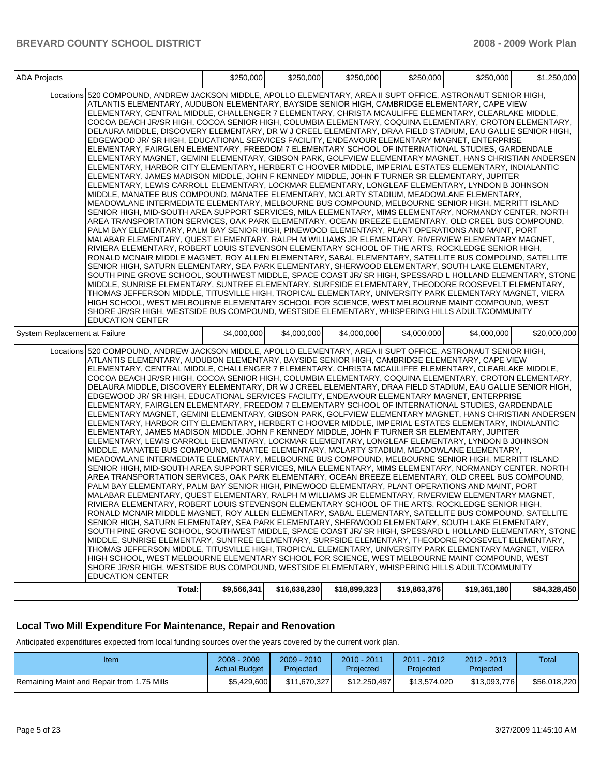| <b>ADA Projects</b>           |                                                                                                                                                                                                                                                                                                                                                                                                                                                                                                                                                                                                                                                                                                                                                                                                                                                                                                                                                                                                                                                                                                                                                                                                                                                                                                                                                                                                                                                                                                                                                                                                                                                                                                                                                                                                                                                                                                                                                                                                                                                                                                                                                                                                                                                                                                                                                                                                                                                                                                                                                                                                                                                                                          | \$250.000   | \$250,000    | \$250,000    | \$250,000    | \$250,000    | \$1,250,000  |
|-------------------------------|------------------------------------------------------------------------------------------------------------------------------------------------------------------------------------------------------------------------------------------------------------------------------------------------------------------------------------------------------------------------------------------------------------------------------------------------------------------------------------------------------------------------------------------------------------------------------------------------------------------------------------------------------------------------------------------------------------------------------------------------------------------------------------------------------------------------------------------------------------------------------------------------------------------------------------------------------------------------------------------------------------------------------------------------------------------------------------------------------------------------------------------------------------------------------------------------------------------------------------------------------------------------------------------------------------------------------------------------------------------------------------------------------------------------------------------------------------------------------------------------------------------------------------------------------------------------------------------------------------------------------------------------------------------------------------------------------------------------------------------------------------------------------------------------------------------------------------------------------------------------------------------------------------------------------------------------------------------------------------------------------------------------------------------------------------------------------------------------------------------------------------------------------------------------------------------------------------------------------------------------------------------------------------------------------------------------------------------------------------------------------------------------------------------------------------------------------------------------------------------------------------------------------------------------------------------------------------------------------------------------------------------------------------------------------------------|-------------|--------------|--------------|--------------|--------------|--------------|
|                               | Locations 520 COMPOUND, ANDREW JACKSON MIDDLE, APOLLO ELEMENTARY, AREA II SUPT OFFICE, ASTRONAUT SENIOR HIGH,<br>ATLANTIS ELEMENTARY, AUDUBON ELEMENTARY, BAYSIDE SENIOR HIGH, CAMBRIDGE ELEMENTARY, CAPE VIEW<br>ELEMENTARY, CENTRAL MIDDLE, CHALLENGER 7 ELEMENTARY, CHRISTA MCAULIFFE ELEMENTARY, CLEARLAKE MIDDLE,<br>COCOA BEACH JR/SR HIGH, COCOA SENIOR HIGH, COLUMBIA ELEMENTARY, COQUINA ELEMENTARY, CROTON ELEMENTARY,<br>DELAURA MIDDLE, DISCOVERY ELEMENTARY, DR W J CREEL ELEMENTARY, DRAA FIELD STADIUM, EAU GALLIE SENIOR HIGH,<br>EDGEWOOD JR/ SR HIGH, EDUCATIONAL SERVICES FACILITY, ENDEAVOUR ELEMENTARY MAGNET, ENTERPRISE<br>ELEMENTARY, FAIRGLEN ELEMENTARY, FREEDOM 7 ELEMENTARY SCHOOL OF INTERNATIONAL STUDIES, GARDENDALE<br>ELEMENTARY MAGNET, GEMINI ELEMENTARY, GIBSON PARK, GOLFVIEW ELEMENTARY MAGNET, HANS CHRISTIAN ANDERSEN<br>ELEMENTARY, HARBOR CITY ELEMENTARY, HERBERT C HOOVER MIDDLE, IMPERIAL ESTATES ELEMENTARY, INDIALANTIC<br>ELEMENTARY, JAMES MADISON MIDDLE, JOHN F KENNEDY MIDDLE, JOHN F TURNER SR ELEMENTARY, JUPITER<br>ELEMENTARY, LEWIS CARROLL ELEMENTARY, LOCKMAR ELEMENTARY, LONGLEAF ELEMENTARY, LYNDON B JOHNSON<br>MIDDLE, MANATEE BUS COMPOUND, MANATEE ELEMENTARY, MCLARTY STADIUM, MEADOWLANE ELEMENTARY,<br>MEADOWLANE INTERMEDIATE ELEMENTARY, MELBOURNE BUS COMPOUND, MELBOURNE SENIOR HIGH, MERRITT ISLAND<br>SENIOR HIGH, MID-SOUTH AREA SUPPORT SERVICES, MILA ELEMENTARY, MIMS ELEMENTARY, NORMANDY CENTER, NORTH<br>AREA TRANSPORTATION SERVICES, OAK PARK ELEMENTARY, OCEAN BREEZE ELEMENTARY, OLD CREEL BUS COMPOUND,<br>PALM BAY ELEMENTARY, PALM BAY SENIOR HIGH, PINEWOOD ELEMENTARY, PLANT OPERATIONS AND MAINT, PORT<br>MALABAR ELEMENTARY, QUEST ELEMENTARY, RALPH M WILLIAMS JR ELEMENTARY, RIVERVIEW ELEMENTARY MAGNET,<br>RIVIERA ELEMENTARY, ROBERT LOUIS STEVENSON ELEMENTARY SCHOOL OF THE ARTS, ROCKLEDGE SENIOR HIGH,<br>RONALD MCNAIR MIDDLE MAGNET, ROY ALLEN ELEMENTARY, SABAL ELEMENTARY, SATELLITE BUS COMPOUND, SATELLITE<br>SENIOR HIGH, SATURN ELEMENTARY, SEA PARK ELEMENTARY, SHERWOOD ELEMENTARY, SOUTH LAKE ELEMENTARY,<br>SOUTH PINE GROVE SCHOOL, SOUTHWEST MIDDLE, SPACE COAST JR/ SR HIGH, SPESSARD L HOLLAND ELEMENTARY, STONE<br>MIDDLE, SUNRISE ELEMENTARY, SUNTREE ELEMENTARY, SURFSIDE ELEMENTARY, THEODORE ROOSEVELT ELEMENTARY,<br>THOMAS JEFFERSON MIDDLE, TITUSVILLE HIGH, TROPICAL ELEMENTARY, UNIVERSITY PARK ELEMENTARY MAGNET, VIERA<br>HIGH SCHOOL. WEST MELBOURNE ELEMENTARY SCHOOL FOR SCIENCE. WEST MELBOURNE MAINT COMPOUND. WEST<br>SHORE JR/SR HIGH, WESTSIDE BUS COMPOUND, WESTSIDE ELEMENTARY, WHISPERING HILLS ADULT/COMMUNITY                              |             |              |              |              |              |              |
| System Replacement at Failure | <b>EDUCATION CENTER</b>                                                                                                                                                                                                                                                                                                                                                                                                                                                                                                                                                                                                                                                                                                                                                                                                                                                                                                                                                                                                                                                                                                                                                                                                                                                                                                                                                                                                                                                                                                                                                                                                                                                                                                                                                                                                                                                                                                                                                                                                                                                                                                                                                                                                                                                                                                                                                                                                                                                                                                                                                                                                                                                                  | \$4,000,000 | \$4,000,000  | \$4,000,000  | \$4,000,000  | \$4,000,000  | \$20,000,000 |
|                               | Locations 520 COMPOUND, ANDREW JACKSON MIDDLE, APOLLO ELEMENTARY, AREA II SUPT OFFICE, ASTRONAUT SENIOR HIGH,<br>ATLANTIS ELEMENTARY, AUDUBON ELEMENTARY, BAYSIDE SENIOR HIGH, CAMBRIDGE ELEMENTARY, CAPE VIEW<br>ELEMENTARY, CENTRAL MIDDLE, CHALLENGER 7 ELEMENTARY, CHRISTA MCAULIFFE ELEMENTARY, CLEARLAKE MIDDLE,<br>COCOA BEACH JR/SR HIGH, COCOA SENIOR HIGH, COLUMBIA ELEMENTARY, COQUINA ELEMENTARY, CROTON ELEMENTARY,<br>DELAURA MIDDLE, DISCOVERY ELEMENTARY, DR W J CREEL ELEMENTARY, DRAA FIELD STADIUM, EAU GALLIE SENIOR HIGH,<br>EDGEWOOD JR/ SR HIGH, EDUCATIONAL SERVICES FACILITY, ENDEAVOUR ELEMENTARY MAGNET, ENTERPRISE<br>ELEMENTARY, FAIRGLEN ELEMENTARY, FREEDOM 7 ELEMENTARY SCHOOL OF INTERNATIONAL STUDIES, GARDENDALE<br>ELEMENTARY MAGNET, GEMINI ELEMENTARY, GIBSON PARK, GOLFVIEW ELEMENTARY MAGNET, HANS CHRISTIAN ANDERSEN  <br>ELEMENTARY, HARBOR CITY ELEMENTARY, HERBERT C HOOVER MIDDLE, IMPERIAL ESTATES ELEMENTARY, INDIALANTIC<br>ELEMENTARY, JAMES MADISON MIDDLE, JOHN F KENNEDY MIDDLE, JOHN F TURNER SR ELEMENTARY, JUPITER<br>ELEMENTARY, LEWIS CARROLL ELEMENTARY, LOCKMAR ELEMENTARY, LONGLEAF ELEMENTARY, LYNDON B JOHNSON<br>MIDDLE, MANATEE BUS COMPOUND, MANATEE ELEMENTARY, MCLARTY STADIUM, MEADOWLANE ELEMENTARY,<br>MEADOWLANE INTERMEDIATE ELEMENTARY, MELBOURNE BUS COMPOUND, MELBOURNE SENIOR HIGH, MERRITT ISLAND<br>SENIOR HIGH, MID-SOUTH AREA SUPPORT SERVICES, MILA ELEMENTARY, MIMS ELEMENTARY, NORMANDY CENTER, NORTH<br>AREA TRANSPORTATION SERVICES, OAK PARK ELEMENTARY, OCEAN BREEZE ELEMENTARY, OLD CREEL BUS COMPOUND,<br>PALM BAY ELEMENTARY, PALM BAY SENIOR HIGH, PINEWOOD ELEMENTARY, PLANT OPERATIONS AND MAINT, PORT<br>MALABAR ELEMENTARY, QUEST ELEMENTARY, RALPH M WILLIAMS JR ELEMENTARY, RIVERVIEW ELEMENTARY MAGNET,<br>RIVIERA ELEMENTARY, ROBERT LOUIS STEVENSON ELEMENTARY SCHOOL OF THE ARTS, ROCKLEDGE SENIOR HIGH,<br>RONALD MCNAIR MIDDLE MAGNET, ROY ALLEN ELEMENTARY, SABAL ELEMENTARY, SATELLITE BUS COMPOUND, SATELLITE<br>SENIOR HIGH, SATURN ELEMENTARY, SEA PARK ELEMENTARY, SHERWOOD ELEMENTARY, SOUTH LAKE ELEMENTARY,<br>SOUTH PINE GROVE SCHOOL, SOUTHWEST MIDDLE, SPACE COAST JR/ SR HIGH, SPESSARD L HOLLAND ELEMENTARY, STONE<br>MIDDLE, SUNRISE ELEMENTARY, SUNTREE ELEMENTARY, SURFSIDE ELEMENTARY, THEODORE ROOSEVELT ELEMENTARY,<br>THOMAS JEFFERSON MIDDLE, TITUSVILLE HIGH, TROPICAL ELEMENTARY, UNIVERSITY PARK ELEMENTARY MAGNET, VIERA<br>HIGH SCHOOL, WEST MELBOURNE ELEMENTARY SCHOOL FOR SCIENCE, WEST MELBOURNE MAINT COMPOUND, WEST<br>SHORE JR/SR HIGH, WESTSIDE BUS COMPOUND, WESTSIDE ELEMENTARY, WHISPERING HILLS ADULT/COMMUNITY<br><b>EDUCATION CENTER</b> |             |              |              |              |              |              |
|                               | Total:                                                                                                                                                                                                                                                                                                                                                                                                                                                                                                                                                                                                                                                                                                                                                                                                                                                                                                                                                                                                                                                                                                                                                                                                                                                                                                                                                                                                                                                                                                                                                                                                                                                                                                                                                                                                                                                                                                                                                                                                                                                                                                                                                                                                                                                                                                                                                                                                                                                                                                                                                                                                                                                                                   | \$9,566,341 | \$16,638,230 | \$18,899,323 | \$19,863,376 | \$19,361,180 | \$84,328,450 |

## **Local Two Mill Expenditure For Maintenance, Repair and Renovation**

Anticipated expenditures expected from local funding sources over the years covered by the current work plan.

| Item                                       | $2008 - 2009$<br><b>Actual Budget</b> | $2009 - 2010$<br>Projected | 2010 - 2011<br>Projected | 2011 - 2012<br>Projected | $2012 - 2013$<br>Projected | Total        |
|--------------------------------------------|---------------------------------------|----------------------------|--------------------------|--------------------------|----------------------------|--------------|
| Remaining Maint and Repair from 1.75 Mills | \$5.429.600                           | \$11.670.327               | \$12,250,497             | \$13.574.020             | \$13.093.776               | \$56,018,220 |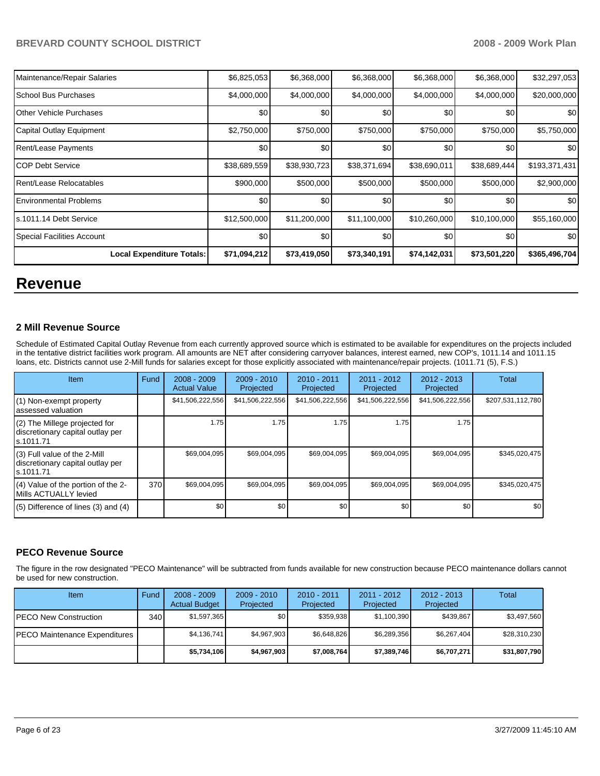| Maintenance/Repair Salaries      | \$6,825,053  | \$6,368,000  | \$6,368,000  | \$6,368,000  | \$6,368,000  | \$32,297,053  |
|----------------------------------|--------------|--------------|--------------|--------------|--------------|---------------|
| l School Bus Purchases           | \$4,000,000  | \$4,000,000  | \$4,000,000  | \$4,000,000  | \$4,000,000  | \$20,000,000  |
| <b>Other Vehicle Purchases</b>   | \$0          | \$0          | \$0          | \$0          | \$0          | \$0           |
| Capital Outlay Equipment         | \$2,750,000  | \$750,000    | \$750,000    | \$750,000    | \$750,000    | \$5,750,000   |
| Rent/Lease Payments              | \$0          | \$0          | \$0          | \$0          | \$0          | \$0           |
| ICOP Debt Service                | \$38,689,559 | \$38,930,723 | \$38,371,694 | \$38,690,011 | \$38,689,444 | \$193,371,431 |
| Rent/Lease Relocatables          | \$900,000    | \$500,000    | \$500,000    | \$500,000    | \$500,000    | \$2,900,000   |
| <b>IEnvironmental Problems</b>   | \$0          | \$0          | \$0          | \$0          | \$0          | \$0           |
| ls.1011.14 Debt Service          | \$12,500,000 | \$11,200,000 | \$11,100,000 | \$10,260,000 | \$10,100,000 | \$55,160,000  |
| Special Facilities Account       | \$0          | \$0          | \$0          | \$0          | \$0          | \$0           |
| <b>Local Expenditure Totals:</b> | \$71,094,212 | \$73,419,050 | \$73,340,191 | \$74,142,031 | \$73,501,220 | \$365,496,704 |

## **Revenue**

#### **2 Mill Revenue Source**

Schedule of Estimated Capital Outlay Revenue from each currently approved source which is estimated to be available for expenditures on the projects included in the tentative district facilities work program. All amounts are NET after considering carryover balances, interest earned, new COP's, 1011.14 and 1011.15 loans, etc. Districts cannot use 2-Mill funds for salaries except for those explicitly associated with maintenance/repair projects. (1011.71 (5), F.S.)

| Item                                                                              | <b>Fund</b> | $2008 - 2009$<br><b>Actual Value</b> | $2009 - 2010$<br>Projected | $2010 - 2011$<br>Projected | $2011 - 2012$<br>Projected | $2012 - 2013$<br>Projected | Total             |
|-----------------------------------------------------------------------------------|-------------|--------------------------------------|----------------------------|----------------------------|----------------------------|----------------------------|-------------------|
| (1) Non-exempt property<br>lassessed valuation                                    |             | \$41,506,222,556                     | \$41,506,222,556           | \$41,506,222,556           | \$41,506,222,556           | \$41,506,222,556           | \$207,531,112,780 |
| $(2)$ The Millege projected for<br>discretionary capital outlay per<br>ls.1011.71 |             | 1.75                                 | 1.75                       | 1.75                       | 1.75                       | 1.75                       |                   |
| $(3)$ Full value of the 2-Mill<br>discretionary capital outlay per<br>ls.1011.71  |             | \$69,004,095                         | \$69,004,095               | \$69,004,095               | \$69,004,095               | \$69,004,095               | \$345,020,475     |
| (4) Value of the portion of the 2-<br>Mills ACTUALLY levied                       | 370         | \$69,004,095                         | \$69,004,095               | \$69,004,095               | \$69,004,095               | \$69,004,095               | \$345,020,475     |
| $(5)$ Difference of lines $(3)$ and $(4)$                                         |             | \$0                                  | \$0                        | \$0                        | \$0                        | \$0                        | \$0               |

## **PECO Revenue Source**

The figure in the row designated "PECO Maintenance" will be subtracted from funds available for new construction because PECO maintenance dollars cannot be used for new construction.

| Item                                  | Fund | $2008 - 2009$<br><b>Actual Budget</b> | $2009 - 2010$<br>Projected | $2010 - 2011$<br>Projected | $2011 - 2012$<br>Projected | $2012 - 2013$<br>Projected | Total        |
|---------------------------------------|------|---------------------------------------|----------------------------|----------------------------|----------------------------|----------------------------|--------------|
| <b>IPECO New Construction</b>         | 340  | \$1,597,365                           | \$0                        | \$359.938                  | \$1,100,390                | \$439.867                  | \$3,497,560  |
| <b>IPECO Maintenance Expenditures</b> |      | \$4.136.741                           | \$4.967.903                | \$6.648.826                | \$6.289.356                | \$6,267,404                | \$28,310,230 |
|                                       |      | \$5,734,106                           | \$4,967,903                | \$7,008,764                | \$7,389,746                | \$6,707,271                | \$31,807,790 |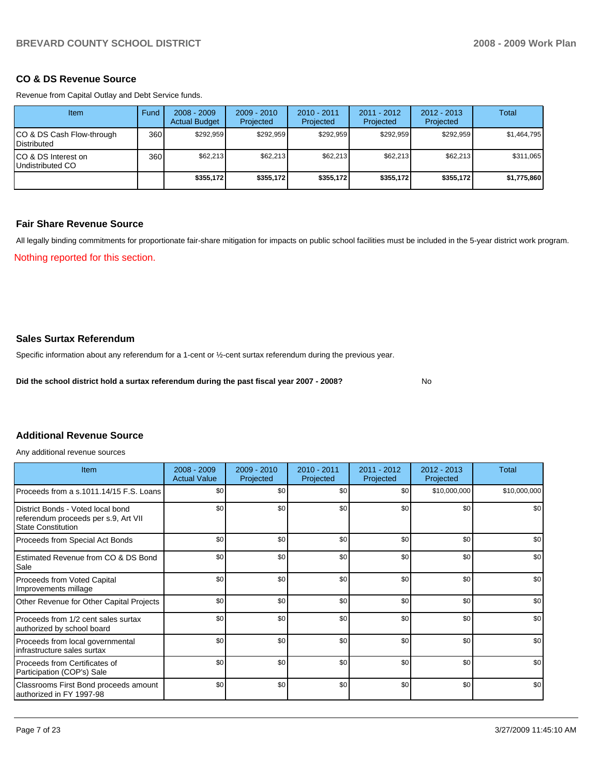#### **CO & DS Revenue Source**

Revenue from Capital Outlay and Debt Service funds.

| <b>Item</b>                                        | Fund | $2008 - 2009$<br><b>Actual Budget</b> | $2009 - 2010$<br>Projected | $2010 - 2011$<br>Projected | $2011 - 2012$<br>Projected | $2012 - 2013$<br>Projected | Total       |
|----------------------------------------------------|------|---------------------------------------|----------------------------|----------------------------|----------------------------|----------------------------|-------------|
| ICO & DS Cash Flow-through<br><b>I</b> Distributed | 360  | \$292.959                             | \$292.959                  | \$292.959                  | \$292.959                  | \$292.959                  | \$1,464,795 |
| ICO & DS Interest on<br>Undistributed CO           | 360  | \$62,213                              | \$62,213                   | \$62,213                   | \$62,213                   | \$62,213                   | \$311,065   |
|                                                    |      | \$355,172                             | \$355,172                  | \$355,172                  | \$355.172                  | \$355,172                  | \$1,775,860 |

#### **Fair Share Revenue Source**

All legally binding commitments for proportionate fair-share mitigation for impacts on public school facilities must be included in the 5-year district work program.

Nothing reported for this section.

## **Sales Surtax Referendum**

Specific information about any referendum for a 1-cent or ½-cent surtax referendum during the previous year.

**Did the school district hold a surtax referendum during the past fiscal year 2007 - 2008?** No

## **Additional Revenue Source**

Any additional revenue sources

| Item                                                                                                   | $2008 - 2009$<br><b>Actual Value</b> | $2009 - 2010$<br>Projected | 2010 - 2011<br>Projected | $2011 - 2012$<br>Projected | $2012 - 2013$<br>Projected | <b>Total</b> |
|--------------------------------------------------------------------------------------------------------|--------------------------------------|----------------------------|--------------------------|----------------------------|----------------------------|--------------|
| Proceeds from a s.1011.14/15 F.S. Loans                                                                | \$0                                  | \$0                        | \$0                      | \$0                        | \$10,000,000               | \$10,000,000 |
| District Bonds - Voted local bond<br>referendum proceeds per s.9, Art VII<br><b>State Constitution</b> | \$0                                  | \$0                        | \$0                      | \$0                        | \$0                        | \$0          |
| Proceeds from Special Act Bonds                                                                        | \$0                                  | \$0                        | \$0                      | \$0                        | \$0                        | \$0          |
| Estimated Revenue from CO & DS Bond<br>Sale                                                            | \$0                                  | \$0                        | \$0                      | \$0                        | \$0                        | \$0          |
| Proceeds from Voted Capital<br>Improvements millage                                                    | \$0                                  | \$0                        | \$0                      | \$0                        | \$0                        | \$0          |
| Other Revenue for Other Capital Projects                                                               | \$0                                  | \$0                        | \$0                      | \$0                        | \$0                        | \$0          |
| Proceeds from 1/2 cent sales surtax<br>authorized by school board                                      | \$0                                  | \$0                        | \$0                      | \$0                        | \$0                        | \$0          |
| Proceeds from local governmental<br>infrastructure sales surtax                                        | \$0                                  | \$0                        | \$0                      | \$0                        | \$0                        | \$0          |
| Proceeds from Certificates of<br>Participation (COP's) Sale                                            | \$0                                  | \$0                        | \$0                      | \$0                        | \$0                        | \$0          |
| Classrooms First Bond proceeds amount<br>authorized in FY 1997-98                                      | \$0                                  | \$0                        | \$0                      | \$0                        | \$0                        | \$0          |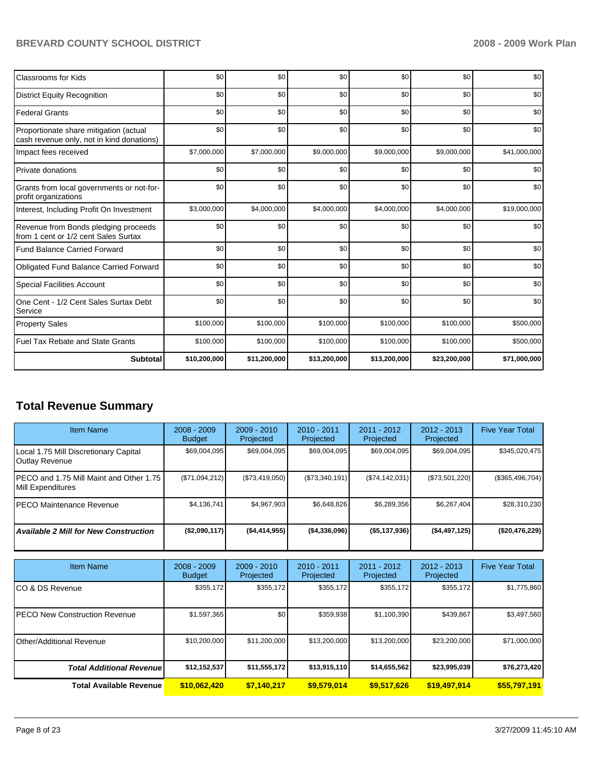| <b>Classrooms for Kids</b>                                                          | \$0          | \$0          | \$0          | \$0          | \$0          | \$0          |
|-------------------------------------------------------------------------------------|--------------|--------------|--------------|--------------|--------------|--------------|
| <b>District Equity Recognition</b>                                                  | \$0          | \$0          | \$0          | \$0          | \$0          | \$0          |
| <b>Federal Grants</b>                                                               | \$0          | \$0          | \$0          | \$0          | \$0          | \$0          |
| Proportionate share mitigation (actual<br>cash revenue only, not in kind donations) | \$0          | \$0          | \$0          | \$0          | \$0          | \$0          |
| Impact fees received                                                                | \$7,000,000  | \$7,000,000  | \$9,000,000  | \$9,000,000  | \$9,000,000  | \$41,000,000 |
| <b>Private donations</b>                                                            | \$0          | \$0          | \$0          | \$0          | \$0          | \$0          |
| Grants from local governments or not-for-<br>profit organizations                   | \$0          | \$0          | \$0          | \$0          | \$0          | \$0          |
| Interest, Including Profit On Investment                                            | \$3,000,000  | \$4,000,000  | \$4,000,000  | \$4,000,000  | \$4,000,000  | \$19,000,000 |
| Revenue from Bonds pledging proceeds<br>from 1 cent or 1/2 cent Sales Surtax        | \$0          | \$0          | \$0          | \$0          | \$0          | \$0          |
| <b>Fund Balance Carried Forward</b>                                                 | \$0          | \$0          | \$0          | \$0          | \$0          | \$0          |
| <b>Obligated Fund Balance Carried Forward</b>                                       | \$0          | \$0          | \$0          | \$0          | \$0          | \$0          |
| <b>Special Facilities Account</b>                                                   | \$0          | \$0          | \$0          | \$0          | \$0          | \$0          |
| One Cent - 1/2 Cent Sales Surtax Debt<br>Service                                    | \$0          | \$0          | \$0          | \$0          | \$0          | \$0          |
| <b>Property Sales</b>                                                               | \$100,000    | \$100,000    | \$100,000    | \$100,000    | \$100,000    | \$500,000    |
| Fuel Tax Rebate and State Grants                                                    | \$100,000    | \$100,000    | \$100,000    | \$100,000    | \$100,000    | \$500,000    |
| <b>Subtotal</b>                                                                     | \$10,200,000 | \$11,200,000 | \$13,200,000 | \$13,200,000 | \$23,200,000 | \$71,000,000 |

## **Total Revenue Summary**

| <b>Item Name</b>                                                | $2008 - 2009$<br><b>Budget</b> | $2009 - 2010$<br>Projected | $2010 - 2011$<br>Projected | $2011 - 2012$<br>Projected | $2012 - 2013$<br>Projected | <b>Five Year Total</b> |
|-----------------------------------------------------------------|--------------------------------|----------------------------|----------------------------|----------------------------|----------------------------|------------------------|
| Local 1.75 Mill Discretionary Capital<br>Outlay Revenue         | \$69,004,095                   | \$69,004,095               | \$69,004,095               | \$69,004,095               | \$69,004,095               | \$345,020,475          |
| IPECO and 1.75 Mill Maint and Other 1.75 I<br>Mill Expenditures | (S71,094,212)                  | (\$73,419,050)             | (\$73,340,191)             | (S74, 142, 031)            | (\$73,501,220)             | (\$365,496,704)        |
| <b>IPECO Maintenance Revenue</b>                                | \$4.136.741                    | \$4,967,903                | \$6,648,826                | \$6,289,356                | \$6,267,404                | \$28,310,230           |
| <b>Available 2 Mill for New Construction</b>                    | (\$2,090,117)                  | ( \$4,414,955)             | ( \$4,336,096)             | (\$5,137,936)              | ( \$4,497,125)             | (\$20,476,229)         |

| <b>Item Name</b>                      | $2008 - 2009$<br><b>Budget</b> | $2009 - 2010$<br>Projected | 2010 - 2011<br>Projected | 2011 - 2012<br>Projected | $2012 - 2013$<br>Projected | <b>Five Year Total</b> |
|---------------------------------------|--------------------------------|----------------------------|--------------------------|--------------------------|----------------------------|------------------------|
| ICO & DS Revenue                      | \$355,172                      | \$355,172                  | \$355.172                | \$355,172                | \$355,172                  | \$1,775,860            |
| <b>IPECO New Construction Revenue</b> | \$1,597,365                    | \$0 <sub>1</sub>           | \$359,938                | \$1,100,390              | \$439,867                  | \$3,497,560            |
| <b>IOther/Additional Revenue</b>      | \$10,200,000                   | \$11,200,000               | \$13,200,000             | \$13,200,000             | \$23,200,000               | \$71,000,000           |
| <b>Total Additional Revenuel</b>      | \$12,152,537                   | \$11,555,172               | \$13,915,110             | \$14,655,562             | \$23,995,039               | \$76,273,420           |
| Total Available Revenue               | \$10,062,420                   | \$7,140,217                | \$9,579,014              | \$9,517,626              | \$19,497,914               | \$55,797,191           |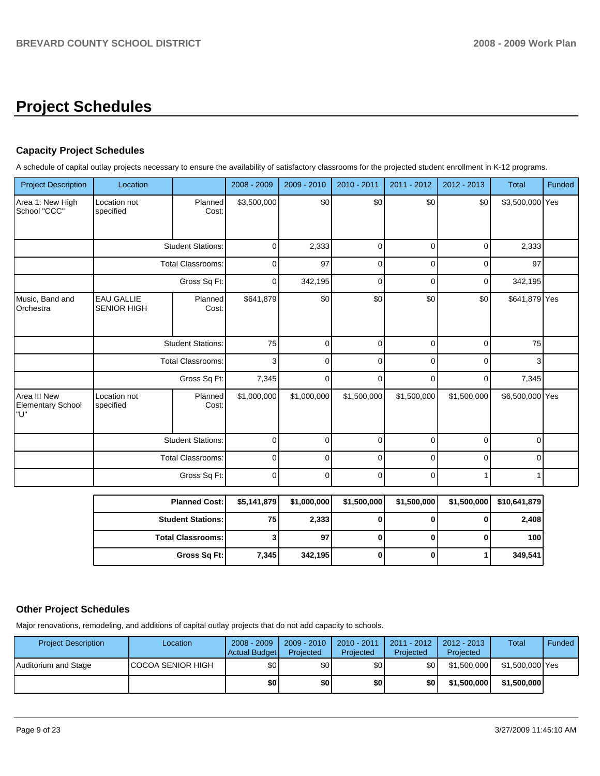# **Project Schedules**

## **Capacity Project Schedules**

A schedule of capital outlay projects necessary to ensure the availability of satisfactory classrooms for the projected student enrollment in K-12 programs.

| <b>Project Description</b>               | Location                                |                          | 2008 - 2009 | 2009 - 2010 | 2010 - 2011 | 2011 - 2012 | 2012 - 2013 | <b>Total</b>    | Funded |
|------------------------------------------|-----------------------------------------|--------------------------|-------------|-------------|-------------|-------------|-------------|-----------------|--------|
| Area 1: New High<br>School "CCC"         | Location not<br>specified               | Planned<br>Cost:         | \$3,500,000 | \$0         | \$0         | \$0         | \$0         | \$3,500,000 Yes |        |
|                                          | <b>Student Stations:</b>                |                          | 0           | 2,333       | 0           | $\Omega$    | $\Omega$    | 2,333           |        |
|                                          |                                         | Total Classrooms:        | 0           | 97          | 0           | $\Omega$    | $\Omega$    | 97              |        |
|                                          |                                         | Gross Sq Ft:             | 0           | 342,195     | 0           | $\Omega$    | 0           | 342,195         |        |
| Music, Band and<br>Orchestra             | <b>EAU GALLIE</b><br><b>SENIOR HIGH</b> | Planned<br>Cost:         | \$641,879   | \$0         | \$0         | \$0         | \$0         | \$641,879 Yes   |        |
|                                          |                                         | <b>Student Stations:</b> | 75          | 0           | 0           | 0           | 0           | 75              |        |
|                                          | <b>Total Classrooms:</b>                |                          | 3           | $\Omega$    | $\Omega$    | $\Omega$    | $\Omega$    | 3               |        |
|                                          |                                         | Gross Sq Ft:             | 7,345       | $\Omega$    | $\Omega$    | $\Omega$    | 0           | 7,345           |        |
| Area III New<br>Elementary School<br>"U" | Location not<br>specified               | Planned<br>Cost:         | \$1,000,000 | \$1,000,000 | \$1,500,000 | \$1,500,000 | \$1,500,000 | \$6,500,000 Yes |        |
|                                          |                                         | <b>Student Stations:</b> | 0           | $\Omega$    | 0           | $\Omega$    | 0           | $\Omega$        |        |
|                                          |                                         | <b>Total Classrooms:</b> | 0           | $\Omega$    | $\Omega$    | $\Omega$    | $\Omega$    | $\Omega$        |        |
|                                          |                                         | Gross Sq Ft:             | 0           | $\Omega$    | 0           | $\Omega$    |             |                 |        |
|                                          | <b>Planned Cost:</b>                    |                          | \$5,141,879 | \$1,000,000 | \$1,500,000 | \$1,500,000 | \$1,500,000 | \$10,641,879    |        |
|                                          | <b>Student Stations:</b>                |                          | 75          | 2,333       | 0           | 0           | 0           | 2,408           |        |
|                                          |                                         | <b>Total Classrooms:</b> |             | 97          | 0           | 0           | 0           | 100             |        |
|                                          |                                         | Gross Sq Ft:             | 7,345       | 342,195     | 0           | 0           | 1           | 349,541         |        |

## **Other Project Schedules**

Major renovations, remodeling, and additions of capital outlay projects that do not add capacity to schools.

| <b>Project Description</b> | Location                  | $2008 - 2009$<br>Actual Budget | 2009 - 2010<br>Projected | 2010 - 2011<br>Projected | 2011 - 2012<br>Projected | 2012 - 2013  <br>Projected | Total           | Funded |
|----------------------------|---------------------------|--------------------------------|--------------------------|--------------------------|--------------------------|----------------------------|-----------------|--------|
| Auditorium and Stage       | <b>ICOCOA SENIOR HIGH</b> | \$0                            | \$0 <sub>1</sub>         | \$0                      | \$0 <sub>1</sub>         | \$1,500,000                | \$1,500,000 Yes |        |
|                            |                           | \$0                            | \$0                      | \$0                      | \$0                      | \$1.500.000                | \$1,500,000     |        |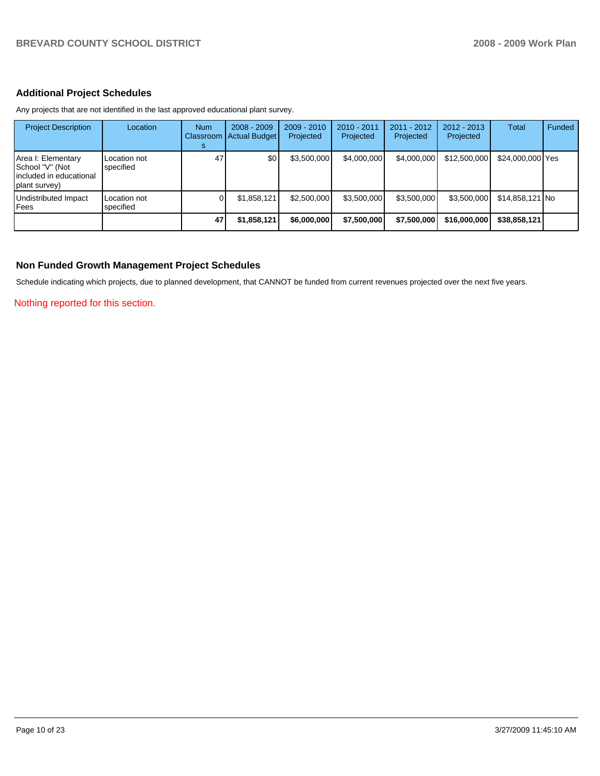## **Additional Project Schedules**

Any projects that are not identified in the last approved educational plant survey.

| <b>Project Description</b>                                                        | Location                  | <b>Num</b><br>Classroom<br>s | $2008 - 2009$<br><b>Actual Budget</b> | 2009 - 2010<br>Projected | 2010 - 2011<br>Projected | 2011 - 2012<br>Projected | $2012 - 2013$<br>Projected | Total            | Funded |
|-----------------------------------------------------------------------------------|---------------------------|------------------------------|---------------------------------------|--------------------------|--------------------------|--------------------------|----------------------------|------------------|--------|
| Area I: Elementary<br>School "V" (Not<br>included in educational<br>plant survey) | Location not<br>specified | 47                           | \$0                                   | \$3,500,000              | \$4,000,000              | \$4,000,000              | \$12,500,000               | \$24,000,000 Yes |        |
| Undistributed Impact<br>Fees                                                      | Location not<br>specified |                              | \$1,858,121                           | \$2,500,000              | \$3,500,000              | \$3,500,000              | \$3,500,000                | $$14,858,121$ No |        |
|                                                                                   |                           | 47                           | \$1,858,121                           | \$6,000,000              | \$7,500,000              | \$7,500,000              | \$16,000,000               | \$38,858,121     |        |

#### **Non Funded Growth Management Project Schedules**

Schedule indicating which projects, due to planned development, that CANNOT be funded from current revenues projected over the next five years.

Nothing reported for this section.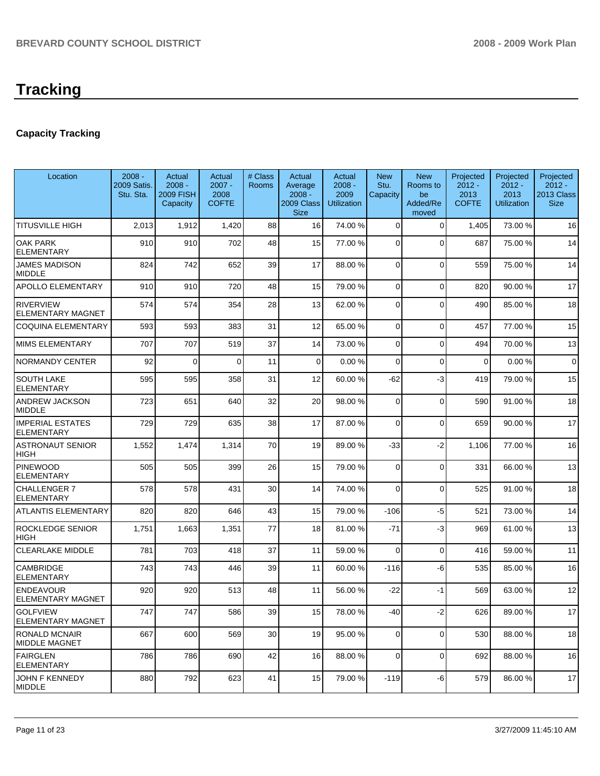## **Capacity Tracking**

| Location                                     | $2008 -$<br>2009 Satis.<br>Stu. Sta. | Actual<br>$2008 -$<br><b>2009 FISH</b><br>Capacity | Actual<br>$2007 -$<br>2008<br><b>COFTE</b> | # Class<br>Rooms | Actual<br>Average<br>$2008 -$<br>2009 Class<br><b>Size</b> | Actual<br>$2008 -$<br>2009<br>Utilization | <b>New</b><br>Stu.<br>Capacity | <b>New</b><br>Rooms to<br>be<br>Added/Re<br>moved | Projected<br>$2012 -$<br>2013<br><b>COFTE</b> | Projected<br>$2012 -$<br>2013<br>Utilization | Projected<br>$2012 -$<br>2013 Class<br><b>Size</b> |
|----------------------------------------------|--------------------------------------|----------------------------------------------------|--------------------------------------------|------------------|------------------------------------------------------------|-------------------------------------------|--------------------------------|---------------------------------------------------|-----------------------------------------------|----------------------------------------------|----------------------------------------------------|
| TITUSVILLE HIGH                              | 2,013                                | 1,912                                              | 1,420                                      | 88               | 16 <sup>1</sup>                                            | 74.00 %                                   | $\overline{0}$                 | $\mathbf 0$                                       | 1,405                                         | 73.00 %                                      | 16                                                 |
| <b>OAK PARK</b><br><b>ELEMENTARY</b>         | 910                                  | 910                                                | 702                                        | 48               | 15                                                         | 77.00 %                                   | $\Omega$                       | $\mathbf{0}$                                      | 687                                           | 75.00 %                                      | 14                                                 |
| <b>JAMES MADISON</b><br><b>MIDDLE</b>        | 824                                  | 742                                                | 652                                        | 39               | 17                                                         | 88.00 %                                   | $\overline{0}$                 | $\Omega$                                          | 559                                           | 75.00 %                                      | 14                                                 |
| <b>APOLLO ELEMENTARY</b>                     | 910                                  | 910                                                | 720                                        | 48               | 15                                                         | 79.00 %                                   | 0                              | $\Omega$                                          | 820                                           | 90.00 %                                      | 17                                                 |
| <b>RIVERVIEW</b><br><b>ELEMENTARY MAGNET</b> | 574                                  | 574                                                | 354                                        | 28               | 13                                                         | 62.00 %                                   | 0                              | $\Omega$                                          | 490                                           | 85.00 %                                      | 18                                                 |
| COQUINA ELEMENTARY                           | 593                                  | 593                                                | 383                                        | 31               | 12                                                         | 65.00 %                                   | 0                              | $\mathbf 0$                                       | 457                                           | 77.00 %                                      | 15                                                 |
| MIMS ELEMENTARY                              | 707                                  | 707                                                | 519                                        | 37               | 14                                                         | 73.00 %                                   | 0                              | $\Omega$                                          | 494                                           | 70.00 %                                      | 13                                                 |
| <b>NORMANDY CENTER</b>                       | 92                                   | $\Omega$                                           | $\Omega$                                   | 11               | $\Omega$                                                   | 0.00%                                     | $\Omega$                       | $\mathbf{0}$                                      | 0                                             | 0.00%                                        | $\mathbf 0$                                        |
| SOUTH LAKE<br>ELEMENTARY                     | 595                                  | 595                                                | 358                                        | 31               | 12                                                         | 60.00 %                                   | -62                            | -3                                                | 419                                           | 79.00 %                                      | 15                                                 |
| <b>ANDREW JACKSON</b><br><b>MIDDLE</b>       | 723                                  | 651                                                | 640                                        | 32               | 20                                                         | 98.00 %                                   | $\mathbf 0$                    | $\mathbf 0$                                       | 590                                           | 91.00 %                                      | 18                                                 |
| <b>IMPERIAL ESTATES</b><br>ELEMENTARY        | 729                                  | 729                                                | 635                                        | 38               | 17                                                         | 87.00 %                                   | $\Omega$                       | $\mathbf{0}$                                      | 659                                           | 90.00 %                                      | 17                                                 |
| <b>ASTRONAUT SENIOR</b><br>HIGH              | 1,552                                | 1,474                                              | 1,314                                      | 70               | 19                                                         | 89.00 %                                   | $-33$                          | $-2$                                              | 1,106                                         | 77.00 %                                      | 16                                                 |
| <b>PINEWOOD</b><br><b>ELEMENTARY</b>         | 505                                  | 505                                                | 399                                        | 26               | 15                                                         | 79.00 %                                   | $\Omega$                       | $\mathbf{0}$                                      | 331                                           | 66.00 %                                      | 13                                                 |
| CHALLENGER 7<br><b>ELEMENTARY</b>            | 578                                  | 578                                                | 431                                        | 30               | 14                                                         | 74.00 %                                   | $\Omega$                       | $\mathbf 0$                                       | 525                                           | 91.00 %                                      | 18                                                 |
| <b>ATLANTIS ELEMENTARY</b>                   | 820                                  | 820                                                | 646                                        | 43               | 15                                                         | 79.00 %                                   | $-106$                         | -5                                                | 521                                           | 73.00 %                                      | 14                                                 |
| ROCKLEDGE SENIOR<br>HIGH                     | 1,751                                | 1,663                                              | 1,351                                      | 77               | 18                                                         | 81.00 %                                   | $-71$                          | -3                                                | 969                                           | 61.00%                                       | 13                                                 |
| <b>CLEARLAKE MIDDLE</b>                      | 781                                  | 703                                                | 418                                        | 37               | 11                                                         | 59.00 %                                   | $\Omega$                       | $\Omega$                                          | 416                                           | 59.00 %                                      | 11                                                 |
| CAMBRIDGE<br><b>ELEMENTARY</b>               | 743                                  | 743                                                | 446                                        | 39               | 11                                                         | 60.00 %                                   | $-116$                         | -6                                                | 535                                           | 85.00 %                                      | 16                                                 |
| <b>ENDEAVOUR</b><br>ELEMENTARY MAGNET        | 920                                  | 920                                                | 513                                        | 48               | 11                                                         | 56.00 %                                   | $-22$                          | -1                                                | 569                                           | 63.00 %                                      | 12                                                 |
| <b>GOLFVIEW</b><br>ELEMENTARY MAGNET         | 747                                  | 747                                                | 586                                        | 39               | 15                                                         | 78.00 %                                   | $-40$                          | $-2$                                              | 626                                           | 89.00 %                                      | 17                                                 |
| <b>RONALD MCNAIR</b><br><b>MIDDLE MAGNET</b> | 667                                  | 600                                                | 569                                        | 30               | 19                                                         | 95.00 %                                   | $\overline{0}$                 | 0                                                 | 530                                           | 88.00 %                                      | 18                                                 |
| <b>FAIRGLEN</b><br><b>ELEMENTARY</b>         | 786                                  | 786                                                | 690                                        | 42               | 16 <sup>1</sup>                                            | 88.00 %                                   | 0                              | 0                                                 | 692                                           | 88.00 %                                      | 16                                                 |
| JOHN F KENNEDY<br><b>MIDDLE</b>              | 880                                  | 792                                                | 623                                        | 41               | 15                                                         | 79.00 %                                   | $-119$                         | -6                                                | 579                                           | 86.00 %                                      | 17                                                 |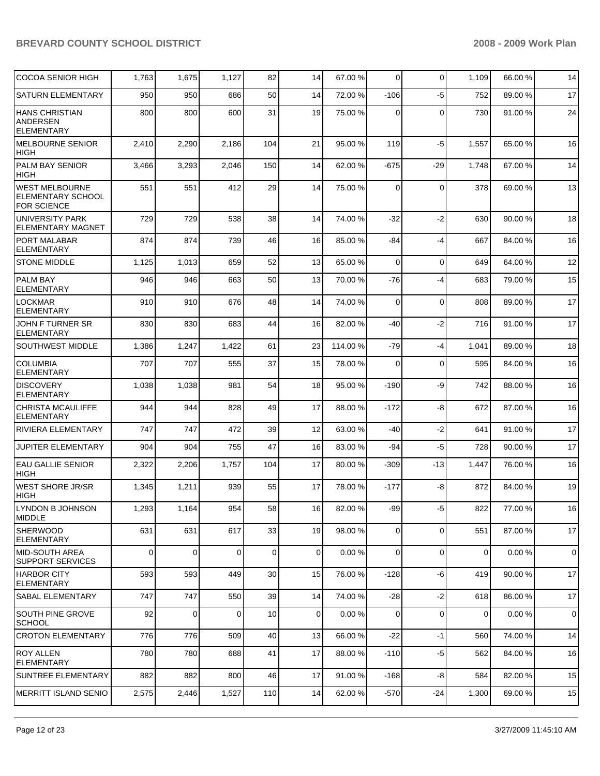| <b>COCOA SENIOR HIGH</b>                                                | 1,763 | 1,675 | 1,127    | 82          | 14          | 67.00 %  | 0           | $\Omega$    | 1,109       | 66.00 % | 14          |
|-------------------------------------------------------------------------|-------|-------|----------|-------------|-------------|----------|-------------|-------------|-------------|---------|-------------|
| SATURN ELEMENTARY                                                       | 950   | 950   | 686      | 50          | 14          | 72.00 %  | $-106$      | $-5$        | 752         | 89.00 % | 17          |
| <b>HANS CHRISTIAN</b><br><b>ANDERSEN</b><br><b>ELEMENTARY</b>           | 800   | 800   | 600      | 31          | 19          | 75.00 %  | 0           | $\Omega$    | 730         | 91.00 % | 24          |
| <b>MELBOURNE SENIOR</b><br><b>HIGH</b>                                  | 2,410 | 2,290 | 2,186    | 104         | 21          | 95.00 %  | 119         | $-5$        | 1,557       | 65.00 % | 16          |
| PALM BAY SENIOR<br><b>HIGH</b>                                          | 3,466 | 3,293 | 2,046    | 150         | 14          | 62.00 %  | $-675$      | -29         | 1,748       | 67.00 % | 14          |
| <b>WEST MELBOURNE</b><br><b>ELEMENTARY SCHOOL</b><br><b>FOR SCIENCE</b> | 551   | 551   | 412      | 29          | 14          | 75.00 %  | 0           | $\Omega$    | 378         | 69.00 % | 13          |
| <b>UNIVERSITY PARK</b><br><b>ELEMENTARY MAGNET</b>                      | 729   | 729   | 538      | 38          | 14          | 74.00 %  | $-32$       | $-2$        | 630         | 90.00 % | 18          |
| PORT MALABAR<br><b>ELEMENTARY</b>                                       | 874   | 874   | 739      | 46          | 16          | 85.00 %  | -84         | $-4$        | 667         | 84.00 % | 16          |
| <b>STONE MIDDLE</b>                                                     | 1,125 | 1,013 | 659      | 52          | 13          | 65.00 %  | $\Omega$    | $\Omega$    | 649         | 64.00 % | 12          |
| <b>PALM BAY</b><br><b>ELEMENTARY</b>                                    | 946   | 946   | 663      | 50          | 13          | 70.00%   | $-76$       | -4          | 683         | 79.00 % | 15          |
| <b>LOCKMAR</b><br><b>ELEMENTARY</b>                                     | 910   | 910   | 676      | 48          | 14          | 74.00 %  | $\mathbf 0$ | $\Omega$    | 808         | 89.00 % | 17          |
| <b>JOHN F TURNER SR</b><br><b>ELEMENTARY</b>                            | 830   | 830   | 683      | 44          | 16          | 82.00 %  | -40         | $-2$        | 716         | 91.00 % | 17          |
| SOUTHWEST MIDDLE                                                        | 1,386 | 1,247 | 1,422    | 61          | 23          | 114.00 % | $-79$       | $-4$        | 1,041       | 89.00 % | 18          |
| <b>COLUMBIA</b><br><b>ELEMENTARY</b>                                    | 707   | 707   | 555      | 37          | 15          | 78.00 %  | $\Omega$    | $\Omega$    | 595         | 84.00 % | 16          |
| <b>DISCOVERY</b><br><b>ELEMENTARY</b>                                   | 1,038 | 1,038 | 981      | 54          | 18          | 95.00 %  | $-190$      | -9          | 742         | 88.00 % | 16          |
| <b>CHRISTA MCAULIFFE</b><br><b>ELEMENTARY</b>                           | 944   | 944   | 828      | 49          | 17          | 88.00 %  | $-172$      | -8          | 672         | 87.00 % | 16          |
| <b>RIVIERA ELEMENTARY</b>                                               | 747   | 747   | 472      | 39          | 12          | 63.00 %  | -40         | $-2$        | 641         | 91.00 % | 17          |
| JUPITER ELEMENTARY                                                      | 904   | 904   | 755      | 47          | 16          | 83.00 %  | -94         | $-5$        | 728         | 90.00 % | 17          |
| <b>EAU GALLIE SENIOR</b><br><b>HIGH</b>                                 | 2,322 | 2,206 | 1,757    | 104         | 17          | 80.00 %  | $-309$      | -13         | 1,447       | 76.00 % | 16          |
| <b>WEST SHORE JR/SR</b><br><b>HIGH</b>                                  | 1,345 | 1,211 | 939      | 55          | 17          | 78.00 %  | $-177$      | -8          | 872         | 84.00 % | 19          |
| LYNDON B JOHNSON<br><b>MIDDLE</b>                                       | 1,293 | 1,164 | 954      | 58          | 16          | 82.00 %  | -99         | $-5$        | 822         | 77.00 % | $16\,$      |
| <b>SHERWOOD</b><br><b>ELEMENTARY</b>                                    | 631   | 631   | 617      | 33          | 19          | 98.00 %  | 0           | 0           | 551         | 87.00 % | 17          |
| MID-SOUTH AREA<br><b>SUPPORT SERVICES</b>                               | 0     | 0     | 0        | $\mathbf 0$ | $\mathbf 0$ | 0.00%    | 0           | $\mathbf 0$ | $\mathbf 0$ | 0.00%   | $\mathbf 0$ |
| <b>HARBOR CITY</b><br><b>ELEMENTARY</b>                                 | 593   | 593   | 449      | 30          | 15          | 76.00 %  | $-128$      | -6          | 419         | 90.00 % | 17          |
| <b>SABAL ELEMENTARY</b>                                                 | 747   | 747   | 550      | 39          | 14          | 74.00 %  | $-28$       | $-2$        | 618         | 86.00 % | 17          |
| <b>SOUTH PINE GROVE</b><br><b>SCHOOL</b>                                | 92    | 0     | $\Omega$ | 10          | 0           | 0.00%    | 0           | $\mathbf 0$ | 0           | 0.00%   | $\pmb{0}$   |
| <b>CROTON ELEMENTARY</b>                                                | 776   | 776   | 509      | 40          | 13          | 66.00 %  | $-22$       | $-1$        | 560         | 74.00 % | 14          |
| <b>ROY ALLEN</b><br>ELEMENTARY                                          | 780   | 780   | 688      | 41          | 17          | 88.00 %  | -110        | -5          | 562         | 84.00 % | 16          |
| <b>SUNTREE ELEMENTARY</b>                                               | 882   | 882   | 800      | 46          | 17          | 91.00 %  | $-168$      | -8          | 584         | 82.00 % | 15          |
| MERRITT ISLAND SENIO                                                    | 2,575 | 2,446 | 1,527    | 110         | 14          | 62.00 %  | $-570$      | $-24$       | 1,300       | 69.00 % | 15          |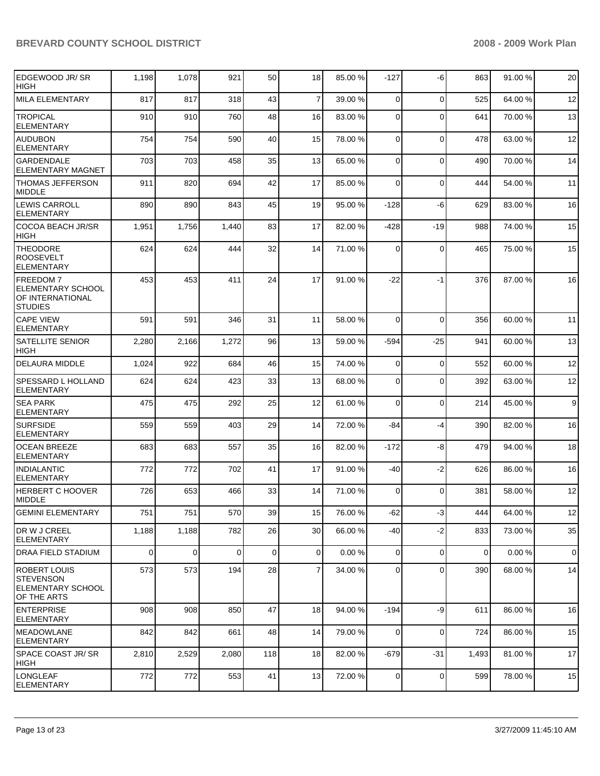| EDGEWOOD JR/ SR<br><b>HIGH</b>                                              | 1,198          | 1,078       | 921   | 50          | 18             | 85.00 % | $-127$         | -6          | 863   | 91.00 % | 20          |
|-----------------------------------------------------------------------------|----------------|-------------|-------|-------------|----------------|---------|----------------|-------------|-------|---------|-------------|
| <b>MILA ELEMENTARY</b>                                                      | 817            | 817         | 318   | 43          | $\overline{7}$ | 39.00 % | $\mathbf 0$    | $\mathbf 0$ | 525   | 64.00 % | 12          |
| <b>TROPICAL</b><br><b>ELEMENTARY</b>                                        | 910            | 910         | 760   | 48          | 16             | 83.00 % | 0              | $\Omega$    | 641   | 70.00 % | 13          |
| <b>AUDUBON</b><br><b>ELEMENTARY</b>                                         | 754            | 754         | 590   | 40          | 15             | 78.00 % | $\mathbf 0$    | $\mathbf 0$ | 478   | 63.00 % | 12          |
| <b>GARDENDALE</b><br><b>ELEMENTARY MAGNET</b>                               | 703            | 703         | 458   | 35          | 13             | 65.00 % | $\mathbf 0$    | $\Omega$    | 490   | 70.00 % | 14          |
| <b>THOMAS JEFFERSON</b><br><b>MIDDLE</b>                                    | 911            | 820         | 694   | 42          | 17             | 85.00 % | 0              | 0           | 444   | 54.00 % | 11          |
| <b>LEWIS CARROLL</b><br><b>ELEMENTARY</b>                                   | 890            | 890         | 843   | 45          | 19             | 95.00 % | $-128$         | -6          | 629   | 83.00 % | 16          |
| <b>COCOA BEACH JR/SR</b><br><b>HIGH</b>                                     | 1,951          | 1,756       | 1,440 | 83          | 17             | 82.00 % | $-428$         | -19         | 988   | 74.00 % | 15          |
| <b>THEODORE</b><br><b>ROOSEVELT</b><br><b>ELEMENTARY</b>                    | 624            | 624         | 444   | 32          | 14             | 71.00 % | 0              | $\mathbf 0$ | 465   | 75.00 % | 15          |
| FREEDOM 7<br><b>ELEMENTARY SCHOOL</b><br>OF INTERNATIONAL<br><b>STUDIES</b> | 453            | 453         | 411   | 24          | 17             | 91.00 % | -22            | $-1$        | 376   | 87.00 % | 16          |
| <b>CAPE VIEW</b><br><b>ELEMENTARY</b>                                       | 591            | 591         | 346   | 31          | 11             | 58.00 % | $\mathbf 0$    | $\Omega$    | 356   | 60.00 % | 11          |
| <b>SATELLITE SENIOR</b><br><b>HIGH</b>                                      | 2,280          | 2,166       | 1,272 | 96          | 13             | 59.00 % | $-594$         | $-25$       | 941   | 60.00 % | 13          |
| <b>DELAURA MIDDLE</b>                                                       | 1,024          | 922         | 684   | 46          | 15             | 74.00 % | 0              | $\mathbf 0$ | 552   | 60.00 % | 12          |
| <b>SPESSARD L HOLLAND</b><br><b>ELEMENTARY</b>                              | 624            | 624         | 423   | 33          | 13             | 68.00 % | 0              | $\mathbf 0$ | 392   | 63.00 % | 12          |
| <b>SEA PARK</b><br><b>ELEMENTARY</b>                                        | 475            | 475         | 292   | 25          | 12             | 61.00 % | 0              | $\mathbf 0$ | 214   | 45.00 % | 9           |
| <b>SURFSIDE</b><br><b>ELEMENTARY</b>                                        | 559            | 559         | 403   | 29          | 14             | 72.00 % | -84            | $-4$        | 390   | 82.00 % | 16          |
| <b>OCEAN BREEZE</b><br><b>ELEMENTARY</b>                                    | 683            | 683         | 557   | 35          | 16             | 82.00 % | $-172$         | -8          | 479   | 94.00 % | 18          |
| <b>INDIALANTIC</b><br><b>ELEMENTARY</b>                                     | 772            | 772         | 702   | 41          | 17             | 91.00 % | -40            | $-2$        | 626   | 86.00 % | 16          |
| <b>HERBERT C HOOVER</b><br><b>MIDDLE</b>                                    | 726            | 653         | 466   | 33          | 14             | 71.00 % | $\mathbf 0$    | $\Omega$    | 381   | 58.00 % | 12          |
| <b>GEMINI ELEMENTARY</b>                                                    | 751            | 751         | 570   | 39          | 15             | 76.00 % | $-62$          | $-3$        | 444   | 64.00 % | 12          |
| DR W J CREEL<br><b>ELEMENTARY</b>                                           | 1,188          | 1,188       | 782   | 26          | 30             | 66.00 % | $-40$          | $-2$        | 833   | 73.00 % | 35          |
| <b>DRAA FIELD STADIUM</b>                                                   | $\overline{0}$ | $\mathbf 0$ | 0     | $\mathbf 0$ | $\overline{0}$ | 0.00%   | $\overline{0}$ | $\mathbf 0$ | 0     | 0.00%   | $\mathbf 0$ |
| ROBERT LOUIS<br><b>STEVENSON</b><br><b>ELEMENTARY SCHOOL</b><br>OF THE ARTS | 573            | 573         | 194   | 28          | $\overline{7}$ | 34.00 % | $\overline{0}$ | $\Omega$    | 390   | 68.00 % | 14          |
| <b>ENTERPRISE</b><br>ELEMENTARY                                             | 908            | 908         | 850   | 47          | 18             | 94.00 % | $-194$         | -9          | 611   | 86.00 % | 16          |
| <b>IMEADOWLANE</b><br><b>ELEMENTARY</b>                                     | 842            | 842         | 661   | 48          | 14             | 79.00 % | $\overline{0}$ | $\mathbf 0$ | 724   | 86.00 % | 15          |
| <b>SPACE COAST JR/SR</b><br>HIGH                                            | 2,810          | 2,529       | 2,080 | 118         | 18             | 82.00 % | $-679$         | $-31$       | 1,493 | 81.00 % | 17          |
| LONGLEAF<br>ELEMENTARY                                                      | 772            | 772         | 553   | 41          | 13             | 72.00 % | 0              | $\mathbf 0$ | 599   | 78.00 % | 15          |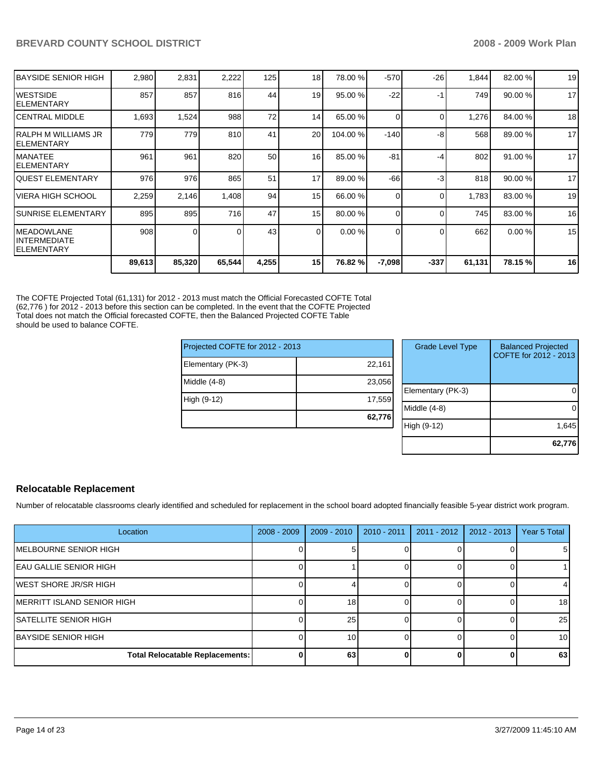| IBAYSIDE SENIOR HIGH                        | 2,980  | 2,831  | 2,222  | 125             | 18       | 78.00 %  | $-570$   | $-26$    | 1,844  | 82.00 % | 19 |
|---------------------------------------------|--------|--------|--------|-----------------|----------|----------|----------|----------|--------|---------|----|
| IWESTSIDE<br>IELEMENTARY                    | 857    | 857    | 816    | 44              | 19       | 95.00 %  | $-22$    | -1       | 749    | 90.00%  | 17 |
| ICENTRAL MIDDLE                             | 1,693  | 1,524  | 988    | 72              | 14       | 65.00 %  | 0        | $\Omega$ | 1,276  | 84.00 % | 18 |
| IRALPH M WILLIAMS JR<br>IELEMENTARY         | 779    | 779    | 810    | 41              | 20       | 104.00 % | $-140$   | -8       | 568    | 89.00 % | 17 |
| IMANATEE<br>IELEMENTARY                     | 961    | 961    | 820    | 50              | 16       | 85.00 %  | $-81$    | -4       | 802    | 91.00 % | 17 |
| <b>QUEST ELEMENTARY</b>                     | 976    | 976    | 865    | 51              | 17       | 89.00 %  | $-66$    | -3       | 818    | 90.00 % | 17 |
| IVIERA HIGH SCHOOL                          | 2,259  | 2,146  | 1,408  | 94              | 15       | 66.00 %  | 0        | $\Omega$ | 1,783  | 83.00 % | 19 |
| <b>ISUNRISE ELEMENTARY</b>                  | 895    | 895    | 716    | 47              | 15       | 80.00 %  | 0        | 0        | 745    | 83.00 % | 16 |
| IMEADOWLANE<br>IINTERMEDIATE<br>IELEMENTARY | 908    | 0      |        | 43 <sub>l</sub> | $\Omega$ | 0.00%    | 0        | $\Omega$ | 662    | 0.00%   | 15 |
|                                             | 89,613 | 85,320 | 65,544 | 4,255           | 15       | 76.82 %  | $-7,098$ | $-337$   | 61,131 | 78.15 % | 16 |

The COFTE Projected Total (61,131) for 2012 - 2013 must match the Official Forecasted COFTE Total (62,776 ) for 2012 - 2013 before this section can be completed. In the event that the COFTE Projected Total does not match the Official forecasted COFTE, then the Balanced Projected COFTE Table should be used to balance COFTE.

| 22,161<br>Elementary (PK-3)<br>Middle $(4-8)$<br>23,056<br>Eler<br>17,559<br>High (9-12) | Projected COFTE for 2012 - 2013 |  |      |  |  |
|------------------------------------------------------------------------------------------|---------------------------------|--|------|--|--|
|                                                                                          |                                 |  |      |  |  |
|                                                                                          |                                 |  |      |  |  |
|                                                                                          |                                 |  | Mid  |  |  |
| 62,776                                                                                   |                                 |  | High |  |  |

| <b>Grade Level Type</b> | <b>Balanced Projected</b><br>COFTE for 2012 - 2013 |
|-------------------------|----------------------------------------------------|
| Elementary (PK-3)       |                                                    |
| Middle (4-8)            |                                                    |
| High (9-12)             | 1,645                                              |
|                         | 62,776                                             |

## **Relocatable Replacement**

Number of relocatable classrooms clearly identified and scheduled for replacement in the school board adopted financially feasible 5-year district work program.

| Location                        | $2008 - 2009$ | $2009 - 2010$ | 2010 - 2011 | $2011 - 2012$ | $2012 - 2013$ | Year 5 Total |
|---------------------------------|---------------|---------------|-------------|---------------|---------------|--------------|
| MELBOURNE SENIOR HIGH           |               |               |             |               |               | 51           |
| <b>IEAU GALLIE SENIOR HIGH</b>  |               |               |             |               |               |              |
| IWEST SHORE JR/SR HIGH          |               |               |             |               |               | 4            |
| IMERRITT ISLAND SENIOR HIGH     |               | 18            |             |               |               | 18           |
| <b>ISATELLITE SENIOR HIGH</b>   |               | 25            |             |               |               | 25           |
| <b>IBAYSIDE SENIOR HIGH</b>     |               | 10            |             |               |               | 10           |
| Total Relocatable Replacements: |               | 63            |             |               |               | 63           |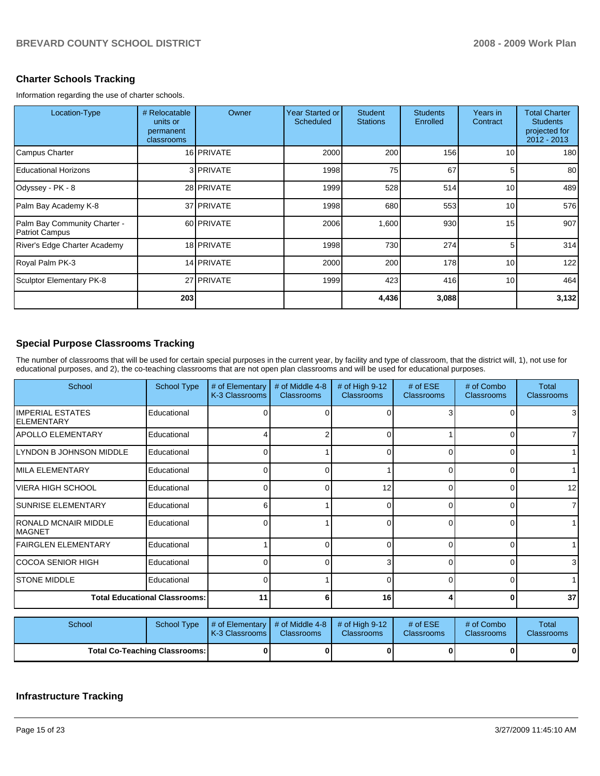#### **Charter Schools Tracking**

Information regarding the use of charter schools.

| Location-Type                                         | # Relocatable<br>units or<br>permanent<br>classrooms | Owner             | Year Started or<br>Scheduled | <b>Student</b><br><b>Stations</b> | <b>Students</b><br>Enrolled | Years in<br>Contract | <b>Total Charter</b><br><b>Students</b><br>projected for<br>2012 - 2013 |
|-------------------------------------------------------|------------------------------------------------------|-------------------|------------------------------|-----------------------------------|-----------------------------|----------------------|-------------------------------------------------------------------------|
| Campus Charter                                        |                                                      | 16 PRIVATE        | 2000                         | 200                               | 156                         | 10 <sup>1</sup>      | 180                                                                     |
| <b>Educational Horizons</b>                           |                                                      | 3 PRIVATE         | 1998                         | 75                                | 67                          | 5                    | 80                                                                      |
| Odyssey - PK - 8                                      |                                                      | 28 PRIVATE        | 1999                         | 528                               | 514                         | 10 <sup>1</sup>      | 489                                                                     |
| Palm Bay Academy K-8                                  |                                                      | 37 <b>PRIVATE</b> | 1998                         | 680                               | 553                         | 10 <sup>1</sup>      | 576                                                                     |
| Palm Bay Community Charter -<br><b>Patriot Campus</b> |                                                      | 60 PRIVATE        | 2006                         | 1,600                             | 930                         | 15                   | 907                                                                     |
| River's Edge Charter Academy                          |                                                      | 18 PRIVATE        | 1998                         | 730                               | 274                         | 5                    | 314                                                                     |
| Royal Palm PK-3                                       |                                                      | 14 PRIVATE        | 2000                         | 200                               | 178                         | 10 <sup>1</sup>      | 122                                                                     |
| Sculptor Elementary PK-8                              |                                                      | 27 PRIVATE        | 1999                         | 423                               | 416                         | 10 <sup>1</sup>      | 464                                                                     |
|                                                       | 203                                                  |                   |                              | 4,436                             | 3,088                       |                      | 3,132                                                                   |

#### **Special Purpose Classrooms Tracking**

The number of classrooms that will be used for certain special purposes in the current year, by facility and type of classroom, that the district will, 1), not use for educational purposes, and 2), the co-teaching classrooms that are not open plan classrooms and will be used for educational purposes.

| School                                        | School Type                          | # of Elementary<br>K-3 Classrooms | # of Middle 4-8<br><b>Classrooms</b> | # of High 9-12<br><b>Classrooms</b> | $#$ of ESE<br><b>Classrooms</b> | # of Combo<br><b>Classrooms</b> | <b>Total</b><br><b>Classrooms</b> |
|-----------------------------------------------|--------------------------------------|-----------------------------------|--------------------------------------|-------------------------------------|---------------------------------|---------------------------------|-----------------------------------|
| <b>IMPERIAL ESTATES</b><br><b>IELEMENTARY</b> | Educational                          |                                   |                                      |                                     |                                 |                                 | 3                                 |
| <b>APOLLO ELEMENTARY</b>                      | Educational                          |                                   | 2                                    | $\Omega$                            |                                 | $\Omega$                        | $\overline{7}$                    |
| LYNDON B JOHNSON MIDDLE                       | Educational                          | 0                                 |                                      | 0                                   |                                 | 0                               | 1                                 |
| IMILA ELEMENTARY                              | Educational                          | 0                                 | 0                                    |                                     |                                 | 0                               |                                   |
| VIERA HIGH SCHOOL                             | Educational                          | 0                                 | O                                    | 12                                  | 0                               | 0                               | 12                                |
| <b>SUNRISE ELEMENTARY</b>                     | Educational                          | 6                                 |                                      | $\Omega$                            |                                 | n                               | $\overline{7}$                    |
| RONALD MCNAIR MIDDLE<br>IMAGNET               | Educational                          |                                   |                                      | $\Omega$                            | U                               | $\Omega$                        |                                   |
| FAIRGLEN ELEMENTARY                           | Educational                          |                                   | 0                                    | $\Omega$                            | 0                               | $\Omega$                        |                                   |
| ICOCOA SENIOR HIGH                            | Educational                          | 0                                 | O                                    | 3                                   | 0                               | 0                               | 3 <sup>1</sup>                    |
| <b>ISTONE MIDDLE</b>                          | Educational                          |                                   |                                      | ∩                                   |                                 | 0                               |                                   |
|                                               | <b>Total Educational Classrooms:</b> | 11                                | 6                                    | 16                                  |                                 | $\bf{0}$                        | 37                                |

| School |                                      | School Type $\parallel \#$ of Elementary $\parallel \#$ of Middle 4-8 $\parallel \#$ of High 9-12<br><b>K-3 Classrooms I</b> | <b>Classrooms</b> | <b>Classrooms</b> | # of $ESE$<br><b>Classrooms</b> | # of Combo<br><b>Classrooms</b> | Total<br><b>Classrooms</b> |
|--------|--------------------------------------|------------------------------------------------------------------------------------------------------------------------------|-------------------|-------------------|---------------------------------|---------------------------------|----------------------------|
|        | <b>Total Co-Teaching Classrooms:</b> |                                                                                                                              |                   |                   |                                 | 0                               | $\mathbf{0}$               |

## **Infrastructure Tracking**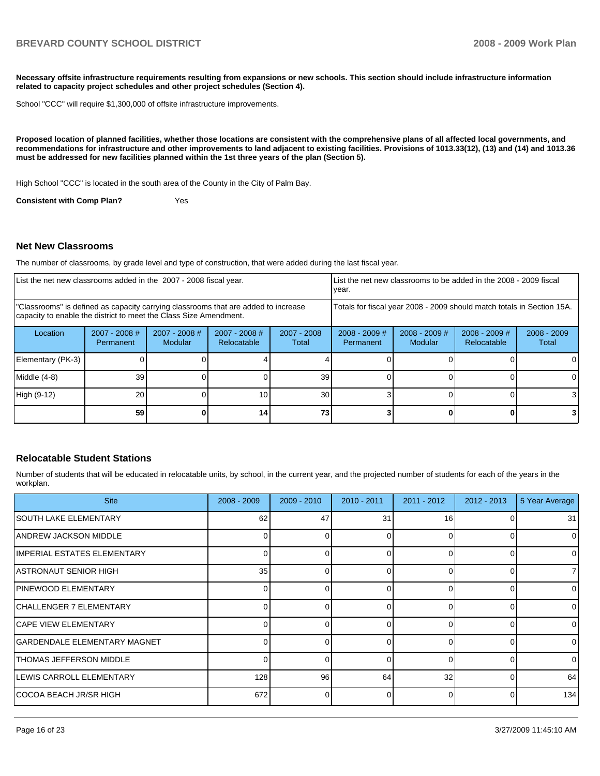**Necessary offsite infrastructure requirements resulting from expansions or new schools. This section should include infrastructure information related to capacity project schedules and other project schedules (Section 4).** 

School "CCC" will require \$1,300,000 of offsite infrastructure improvements.

**Proposed location of planned facilities, whether those locations are consistent with the comprehensive plans of all affected local governments, and recommendations for infrastructure and other improvements to land adjacent to existing facilities. Provisions of 1013.33(12), (13) and (14) and 1013.36 must be addressed for new facilities planned within the 1st three years of the plan (Section 5).** 

High School "CCC" is located in the south area of the County in the City of Palm Bay.

**Consistent with Comp Plan?** Yes

#### **Net New Classrooms**

The number of classrooms, by grade level and type of construction, that were added during the last fiscal year.

| List the net new classrooms added in the 2007 - 2008 fiscal year.                                                                                       |                              |                                   |                                | year.                                                                  |                              | List the net new classrooms to be added in the 2008 - 2009 fiscal |                                |                        |
|---------------------------------------------------------------------------------------------------------------------------------------------------------|------------------------------|-----------------------------------|--------------------------------|------------------------------------------------------------------------|------------------------------|-------------------------------------------------------------------|--------------------------------|------------------------|
| "Classrooms" is defined as capacity carrying classrooms that are added to increase<br>capacity to enable the district to meet the Class Size Amendment. |                              |                                   |                                | Totals for fiscal year 2008 - 2009 should match totals in Section 15A. |                              |                                                                   |                                |                        |
| Location                                                                                                                                                | $2007 - 2008$ #<br>Permanent | $2007 - 2008$ #<br><b>Modular</b> | $2007 - 2008$ #<br>Relocatable | $2007 - 2008$<br>Total                                                 | $2008 - 2009$ #<br>Permanent | $2008 - 2009$ #<br>Modular                                        | $2008 - 2009$ #<br>Relocatable | $2008 - 2009$<br>Total |
| Elementary (PK-3)                                                                                                                                       |                              |                                   |                                |                                                                        |                              |                                                                   |                                |                        |
| $Middle (4-8)$                                                                                                                                          | 39 <sub>l</sub>              |                                   |                                | 39                                                                     |                              |                                                                   |                                |                        |
| High (9-12)                                                                                                                                             | 20                           |                                   | 10                             | 30                                                                     |                              |                                                                   |                                |                        |
|                                                                                                                                                         | 59 <sub>1</sub>              |                                   | 14                             | 73                                                                     |                              |                                                                   |                                | 3 I                    |

#### **Relocatable Student Stations**

Number of students that will be educated in relocatable units, by school, in the current year, and the projected number of students for each of the years in the workplan.

| <b>Site</b>                     | $2008 - 2009$ | $2009 - 2010$ | 2010 - 2011  | $2011 - 2012$ | $2012 - 2013$ | 5 Year Average |
|---------------------------------|---------------|---------------|--------------|---------------|---------------|----------------|
| <b>SOUTH LAKE ELEMENTARY</b>    | 62            | 47            | 31           | 16            |               | 31             |
| IANDREW JACKSON MIDDLE          |               |               |              | $\Omega$      |               | $\Omega$       |
| IIMPERIAL ESTATES ELEMENTARY    |               |               |              | $\Omega$      |               | 0              |
| IASTRONAUT SENIOR HIGH          | 35            | ი             | 0            | $\Omega$      |               | 71             |
| <b>IPINEWOOD ELEMENTARY</b>     | $\Omega$      |               | 0            | $\Omega$      |               | $\overline{0}$ |
| <b>CHALLENGER 7 ELEMENTARY</b>  | 0             |               |              | $\Omega$      |               | $\overline{0}$ |
| <b>ICAPE VIEW ELEMENTARY</b>    | 0             |               | <sup>0</sup> | $\Omega$      |               | $\Omega$       |
| GARDENDALE ELEMENTARY MAGNET    |               |               | ∩            | $\Omega$      |               | $\Omega$       |
| <b>ITHOMAS JEFFERSON MIDDLE</b> | $\Omega$      |               | $\Omega$     | $\Omega$      |               | $\Omega$       |
| LEWIS CARROLL ELEMENTARY        | 128           | 96            | 64           | 32            |               | 64             |
| COCOA BEACH JR/SR HIGH          | 672           | ∩             | <sup>n</sup> | $\Omega$      |               | 134            |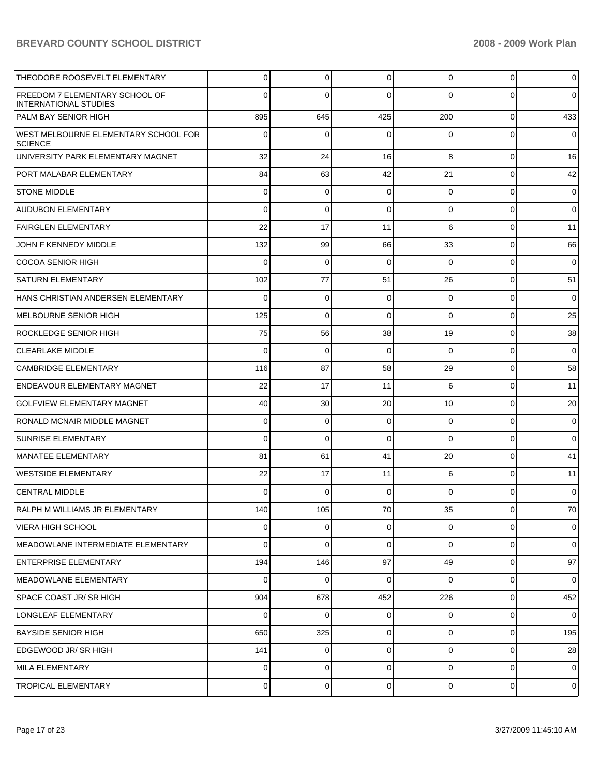| THEODORE ROOSEVELT ELEMENTARY                                  | 0        | 0           | $\mathbf 0$    | 0              | 0              | $\overline{0}$ |
|----------------------------------------------------------------|----------|-------------|----------------|----------------|----------------|----------------|
| FREEDOM 7 ELEMENTARY SCHOOL OF<br><b>INTERNATIONAL STUDIES</b> | $\Omega$ | 0           | $\Omega$       | 0              | 0              | $\overline{0}$ |
| PALM BAY SENIOR HIGH                                           | 895      | 645         | 425            | 200            | $\overline{0}$ | 433            |
| <b>WEST MELBOURNE ELEMENTARY SCHOOL FOR</b><br><b>SCIENCE</b>  | 0        | 0           | $\Omega$       | 0              | 0              | $\overline{0}$ |
| UNIVERSITY PARK ELEMENTARY MAGNET                              | 32       | 24          | 16             | 8              | $\overline{0}$ | 16             |
| PORT MALABAR ELEMENTARY                                        | 84       | 63          | 42             | 21             | $\overline{0}$ | 42             |
| <b>STONE MIDDLE</b>                                            | 0        | 0           | 0              | 0              | $\overline{0}$ | $\overline{0}$ |
| <b>AUDUBON ELEMENTARY</b>                                      | 0        | $\mathbf 0$ | $\Omega$       | 0              | $\overline{0}$ | $\mathbf 0$    |
| <b>FAIRGLEN ELEMENTARY</b>                                     | 22       | 17          | 11             | 6              | $\overline{0}$ | 11             |
| JOHN F KENNEDY MIDDLE                                          | 132      | 99          | 66             | 33             | $\overline{0}$ | 66             |
| <b>COCOA SENIOR HIGH</b>                                       | 0        | 0           | $\Omega$       | 0              | $\overline{0}$ | $\mathbf 0$    |
| <b>SATURN ELEMENTARY</b>                                       | 102      | 77          | 51             | 26             | $\overline{0}$ | 51             |
| HANS CHRISTIAN ANDERSEN ELEMENTARY                             | 0        | 0           | 0              | 0              | $\overline{0}$ | $\mathbf 0$    |
| MELBOURNE SENIOR HIGH                                          | 125      | $\mathbf 0$ | $\Omega$       | 0              | $\overline{0}$ | 25             |
| <b>ROCKLEDGE SENIOR HIGH</b>                                   | 75       | 56          | 38             | 19             | $\overline{0}$ | 38             |
| <b>CLEARLAKE MIDDLE</b>                                        | 0        | 0           | $\Omega$       | $\Omega$       | $\overline{0}$ | $\mathbf 0$    |
| <b>CAMBRIDGE ELEMENTARY</b>                                    | 116      | 87          | 58             | 29             | $\overline{0}$ | 58             |
| ENDEAVOUR ELEMENTARY MAGNET                                    | 22       | 17          | 11             | 6              | $\overline{0}$ | 11             |
| <b>GOLFVIEW ELEMENTARY MAGNET</b>                              | 40       | 30          | 20             | 10             | $\overline{0}$ | 20             |
| RONALD MCNAIR MIDDLE MAGNET                                    | 0        | 0           | $\mathbf 0$    | 0              | $\overline{0}$ | $\mathbf 0$    |
| SUNRISE ELEMENTARY                                             | 0        | 0           | $\Omega$       | $\Omega$       | $\overline{0}$ | $\overline{0}$ |
| MANATEE ELEMENTARY                                             | 81       | 61          | 41             | 20             | $\overline{0}$ | 41             |
| WESTSIDE ELEMENTARY                                            | 22       | 17          | 11             | 6              | $\overline{0}$ | 11             |
| <b>CENTRAL MIDDLE</b>                                          | 0        | 0           | $\Omega$       | 0              | $\overline{0}$ | $\mathbf 0$    |
| RALPH M WILLIAMS JR ELEMENTARY                                 | 140      | 105         | $70\,$         | 35             | 0              | $70\,$         |
| <b>VIERA HIGH SCHOOL</b>                                       | 0        | 0           | $\Omega$       | $\overline{0}$ | $\overline{0}$ | $\overline{0}$ |
| IMEADOWLANE INTERMEDIATE ELEMENTARY                            | 0        | 0           | $\Omega$       | 0              | $\overline{0}$ | $\overline{0}$ |
| <b>ENTERPRISE ELEMENTARY</b>                                   | 194      | 146         | 97             | 49             | $\overline{0}$ | 97             |
| MEADOWLANE ELEMENTARY                                          | 0        | 0           | $\Omega$       | $\Omega$       | $\overline{0}$ | $\overline{0}$ |
| <b>SPACE COAST JR/ SR HIGH</b>                                 | 904      | 678         | 452            | 226            | $\overline{0}$ | 452            |
| LONGLEAF ELEMENTARY                                            | 0        | 0           | $\mathbf 0$    | 0              | $\overline{0}$ | $\overline{0}$ |
| <b>BAYSIDE SENIOR HIGH</b>                                     | 650      | 325         | $\overline{0}$ | $\overline{0}$ | $\overline{0}$ | 195            |
| EDGEWOOD JR/ SR HIGH                                           | 141      | 0           | $\Omega$       | 0              | $\overline{0}$ | 28             |
| MILA ELEMENTARY                                                | 0        | 0           | 0              | 0              | $\overline{0}$ | $\overline{0}$ |
| TROPICAL ELEMENTARY                                            | 0        | 0           | $\mathbf 0$    | 0              | $\overline{0}$ | $\overline{0}$ |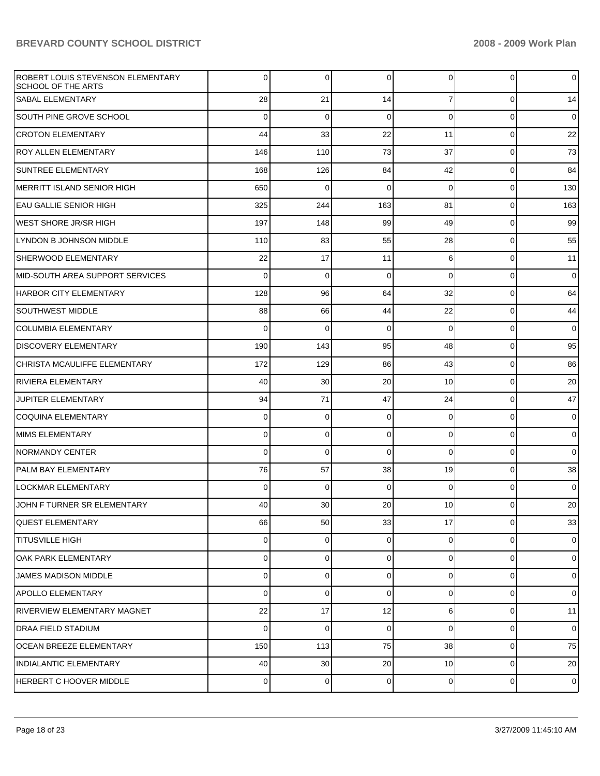| ROBERT LOUIS STEVENSON ELEMENTARY<br><b>SCHOOL OF THE ARTS</b> | 0              | 0           | 0              | 0              | $\overline{0}$ | $\overline{0}$ |
|----------------------------------------------------------------|----------------|-------------|----------------|----------------|----------------|----------------|
| <b>SABAL ELEMENTARY</b>                                        | 28             | 21          | 14             | $\overline{7}$ | $\overline{0}$ | 14             |
| <b>SOUTH PINE GROVE SCHOOL</b>                                 | 0              | $\mathbf 0$ | 0              | 0              | $\overline{0}$ | $\overline{0}$ |
| <b>CROTON ELEMENTARY</b>                                       | 44             | 33          | 22             | 11             | $\overline{0}$ | 22             |
| <b>ROY ALLEN ELEMENTARY</b>                                    | 146            | 110         | 73             | 37             | $\overline{0}$ | 73             |
| <b>SUNTREE ELEMENTARY</b>                                      | 168            | 126         | 84             | 42             | $\overline{0}$ | 84             |
| MERRITT ISLAND SENIOR HIGH                                     | 650            | 0           | $\Omega$       | 0              | $\overline{0}$ | 130            |
| EAU GALLIE SENIOR HIGH                                         | 325            | 244         | 163            | 81             | $\overline{0}$ | 163            |
| IWEST SHORE JR/SR HIGH                                         | 197            | 148         | 99             | 49             | $\overline{0}$ | 99             |
| LYNDON B JOHNSON MIDDLE                                        | 110            | 83          | 55             | 28             | $\overline{0}$ | 55             |
| SHERWOOD ELEMENTARY                                            | 22             | 17          | 11             | 6              | $\overline{0}$ | 11             |
| IMID-SOUTH AREA SUPPORT SERVICES                               | 0              | 0           | $\Omega$       | $\Omega$       | $\overline{0}$ | $\overline{0}$ |
| HARBOR CITY ELEMENTARY                                         | 128            | 96          | 64             | 32             | $\overline{0}$ | 64             |
| <b>SOUTHWEST MIDDLE</b>                                        | 88             | 66          | 44             | 22             | $\overline{0}$ | 44             |
| <b>COLUMBIA ELEMENTARY</b>                                     | 0              | 0           | 0              | $\Omega$       | $\overline{0}$ | $\mathbf 0$    |
| DISCOVERY ELEMENTARY                                           | 190            | 143         | 95             | 48             | $\overline{0}$ | 95             |
| CHRISTA MCAULIFFE ELEMENTARY                                   | 172            | 129         | 86             | 43             | $\overline{0}$ | 86             |
| IRIVIERA ELEMENTARY                                            | 40             | 30          | 20             | 10             | $\overline{0}$ | 20             |
| <b>JUPITER ELEMENTARY</b>                                      | 94             | 71          | 47             | 24             | $\overline{0}$ | 47             |
| <b>COQUINA ELEMENTARY</b>                                      | 0              | 0           | 0              | 0              | $\overline{0}$ | $\overline{0}$ |
| MIMS ELEMENTARY                                                | 0              | 0           | $\mathbf 0$    | 0              | $\overline{0}$ | $\overline{0}$ |
| <b>NORMANDY CENTER</b>                                         | 0              | 0           | $\Omega$       | $\Omega$       | $\overline{0}$ | $\overline{0}$ |
| PALM BAY ELEMENTARY                                            | 76             | 57          | 38             | 19             | $\overline{0}$ | 38             |
| LOCKMAR ELEMENTARY                                             | 0              | 0           | $\Omega$       | $\Omega$       | $\overline{0}$ | $\overline{0}$ |
| JOHN F TURNER SR ELEMENTARY                                    | 40             | 30          | 20             | 10             | $\overline{0}$ | 20             |
| QUEST ELEMENTARY                                               | 66             | 50          | 33             | 17             | $\overline{0}$ | 33             |
| <b>TITUSVILLE HIGH</b>                                         | $\overline{0}$ | $\mathbf 0$ | $\overline{0}$ | $\overline{0}$ | $\overline{0}$ | $\overline{0}$ |
| OAK PARK ELEMENTARY                                            | $\mathbf 0$    | 0           | $\Omega$       | 0              | $\overline{0}$ | $\overline{0}$ |
| JAMES MADISON MIDDLE                                           | 0              | $\mathbf 0$ | $\Omega$       | $\overline{0}$ | $\overline{0}$ | $\overline{0}$ |
| APOLLO ELEMENTARY                                              | $\mathbf 0$    | 0           | $\Omega$       | 0              | $\overline{0}$ | $\overline{0}$ |
| RIVERVIEW ELEMENTARY MAGNET                                    | 22             | 17          | 12             | 6              | $\overline{0}$ | 11             |
| DRAA FIELD STADIUM                                             | $\mathbf 0$    | $\mathbf 0$ | $\Omega$       | $\Omega$       | $\overline{0}$ | $\overline{0}$ |
| <b>OCEAN BREEZE ELEMENTARY</b>                                 | 150            | 113         | 75             | 38             | $\overline{0}$ | 75             |
| <b>INDIALANTIC ELEMENTARY</b>                                  | 40             | 30          | 20             | 10             | $\overline{0}$ | 20             |
| <b>HERBERT C HOOVER MIDDLE</b>                                 | 0              | 0           | $\overline{0}$ | $\overline{0}$ | $\overline{0}$ | $\overline{0}$ |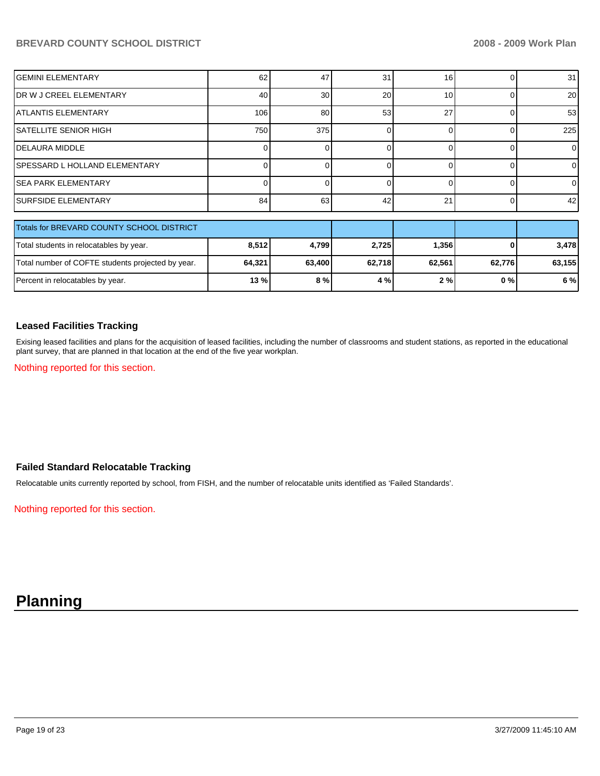| <b>I</b> GEMINI ELEMENTARY     | 62  | 47              | 31 | 16 | 31              |
|--------------------------------|-----|-----------------|----|----|-----------------|
| IDR W J CREEL ELEMENTARY       | 40  | 30 <sup>1</sup> | 20 | 10 | 20 <sup>1</sup> |
| IATLANTIS ELEMENTARY           | 106 | 80              | 53 | 27 | 53 <sub>l</sub> |
| SATELLITE SENIOR HIGH          | 750 | 375             |    |    | 225             |
| IDELAURA MIDDLE                |     |                 |    |    | 0               |
| ISPESSARD L HOLLAND ELEMENTARY |     |                 |    |    | ΩI              |
| ISEA PARK ELEMENTARY           |     |                 |    |    | 0               |
| <b>ISURFSIDE ELEMENTARY</b>    | 84  | 63              | 42 | 21 | 42              |
|                                |     |                 |    |    |                 |

| Totals for BREVARD COUNTY SCHOOL DISTRICT         |         |        |        |        |        |        |
|---------------------------------------------------|---------|--------|--------|--------|--------|--------|
| Total students in relocatables by year.           | 8,512   | 4.799  | 2,725  | 1,356  | 01     | 3.478  |
| Total number of COFTE students projected by year. | 64,321  | 63.400 | 62,718 | 62.561 | 62.776 | 63,155 |
| Percent in relocatables by year.                  | $13 \%$ | 8%     | 4%     | 2%     | 0%     | 6 %    |

#### **Leased Facilities Tracking**

Exising leased facilities and plans for the acquisition of leased facilities, including the number of classrooms and student stations, as reported in the educational plant survey, that are planned in that location at the end of the five year workplan.

Nothing reported for this section.

## **Failed Standard Relocatable Tracking**

Relocatable units currently reported by school, from FISH, and the number of relocatable units identified as 'Failed Standards'.

Nothing reported for this section.

## **Planning**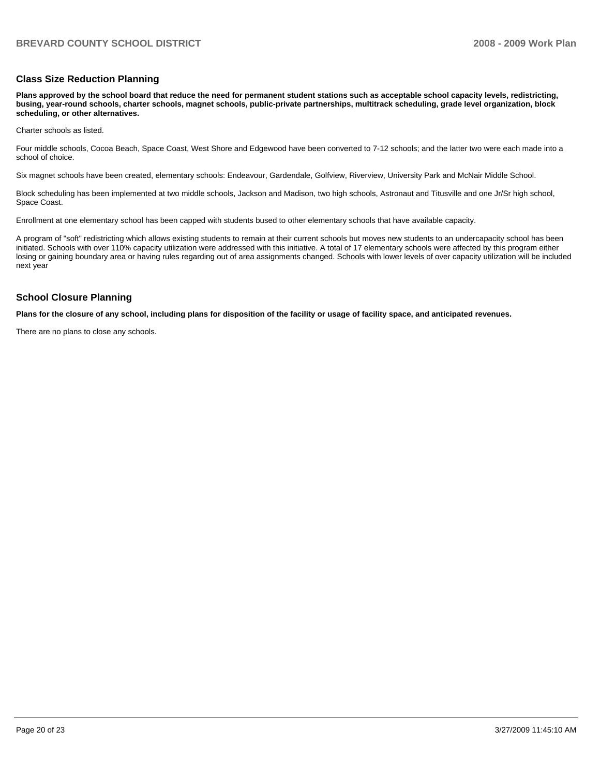#### **Class Size Reduction Planning**

**Plans approved by the school board that reduce the need for permanent student stations such as acceptable school capacity levels, redistricting, busing, year-round schools, charter schools, magnet schools, public-private partnerships, multitrack scheduling, grade level organization, block scheduling, or other alternatives.** 

Charter schools as listed.

Four middle schools, Cocoa Beach, Space Coast, West Shore and Edgewood have been converted to 7-12 schools; and the latter two were each made into a school of choice.

Six magnet schools have been created, elementary schools: Endeavour, Gardendale, Golfview, Riverview, University Park and McNair Middle School.

Block scheduling has been implemented at two middle schools, Jackson and Madison, two high schools, Astronaut and Titusville and one Jr/Sr high school, Space Coast.

Enrollment at one elementary school has been capped with students bused to other elementary schools that have available capacity.

A program of "soft" redistricting which allows existing students to remain at their current schools but moves new students to an undercapacity school has been initiated. Schools with over 110% capacity utilization were addressed with this initiative. A total of 17 elementary schools were affected by this program either losing or gaining boundary area or having rules regarding out of area assignments changed. Schools with lower levels of over capacity utilization will be included next year

#### **School Closure Planning**

**Plans for the closure of any school, including plans for disposition of the facility or usage of facility space, and anticipated revenues.** 

There are no plans to close any schools.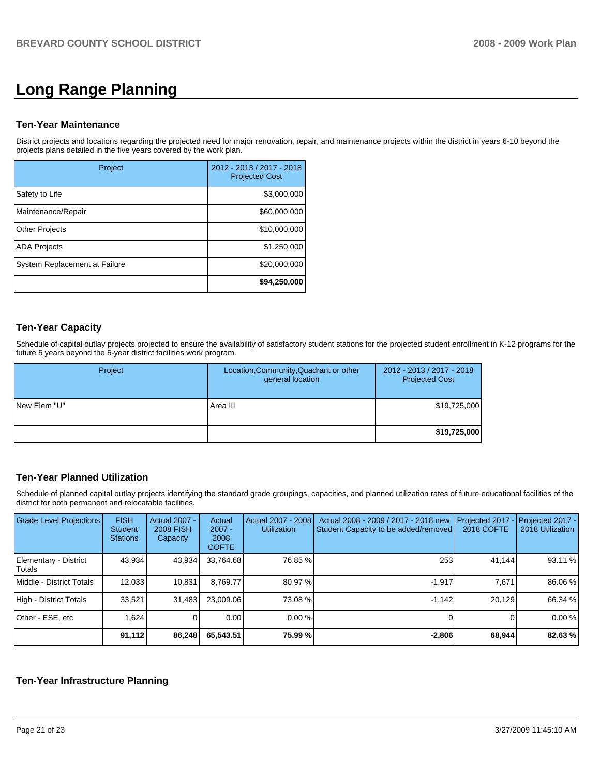# **Long Range Planning**

#### **Ten-Year Maintenance**

District projects and locations regarding the projected need for major renovation, repair, and maintenance projects within the district in years 6-10 beyond the projects plans detailed in the five years covered by the work plan.

| Project                       | 2012 - 2013 / 2017 - 2018<br><b>Projected Cost</b> |
|-------------------------------|----------------------------------------------------|
| Safety to Life                | \$3,000,000                                        |
| Maintenance/Repair            | \$60,000,000                                       |
| <b>Other Projects</b>         | \$10,000,000                                       |
| <b>ADA Projects</b>           | \$1,250,000                                        |
| System Replacement at Failure | \$20,000,000                                       |
|                               | \$94,250,000                                       |

## **Ten-Year Capacity**

Schedule of capital outlay projects projected to ensure the availability of satisfactory student stations for the projected student enrollment in K-12 programs for the future 5 years beyond the 5-year district facilities work program.

| Project       | Location, Community, Quadrant or other<br>general location | 2012 - 2013 / 2017 - 2018<br><b>Projected Cost</b> |
|---------------|------------------------------------------------------------|----------------------------------------------------|
| INew Elem "U" | Area III                                                   | \$19,725,000                                       |
|               |                                                            | \$19,725,000                                       |

## **Ten-Year Planned Utilization**

Schedule of planned capital outlay projects identifying the standard grade groupings, capacities, and planned utilization rates of future educational facilities of the district for both permanent and relocatable facilities.

| Grade Level Projections         | <b>FISH</b><br>Student<br><b>Stations</b> | <b>Actual 2007 -</b><br><b>2008 FISH</b><br>Capacity | Actual<br>$2007 -$<br>2008<br><b>COFTE</b> | Actual 2007 - 2008<br><b>Utilization</b> | Actual 2008 - 2009 / 2017 - 2018 new<br>Student Capacity to be added/removed | Projected 2017<br><b>2018 COFTE</b> | Projected 2017 -<br>2018 Utilization |
|---------------------------------|-------------------------------------------|------------------------------------------------------|--------------------------------------------|------------------------------------------|------------------------------------------------------------------------------|-------------------------------------|--------------------------------------|
| Elementary - District<br>Totals | 43,934                                    | 43,934                                               | 33,764.68                                  | 76.85 %                                  | 253                                                                          | 41,144                              | 93.11 %                              |
| Middle - District Totals        | 12,033                                    | 10,831                                               | 8.769.77                                   | 80.97 %                                  | $-1.917$                                                                     | 7,671                               | 86.06 %                              |
| High - District Totals          | 33,521                                    | 31,483                                               | 23.009.06                                  | 73.08 %                                  | $-1.142$                                                                     | 20,129                              | 66.34 %                              |
| Other - ESE, etc                | 1.624                                     |                                                      | 0.00                                       | 0.00%                                    |                                                                              |                                     | 0.00%                                |
|                                 | 91,112                                    | 86,248                                               | 65,543.51                                  | 75.99 %                                  | $-2,806$                                                                     | 68,944                              | 82.63 %                              |

#### **Ten-Year Infrastructure Planning**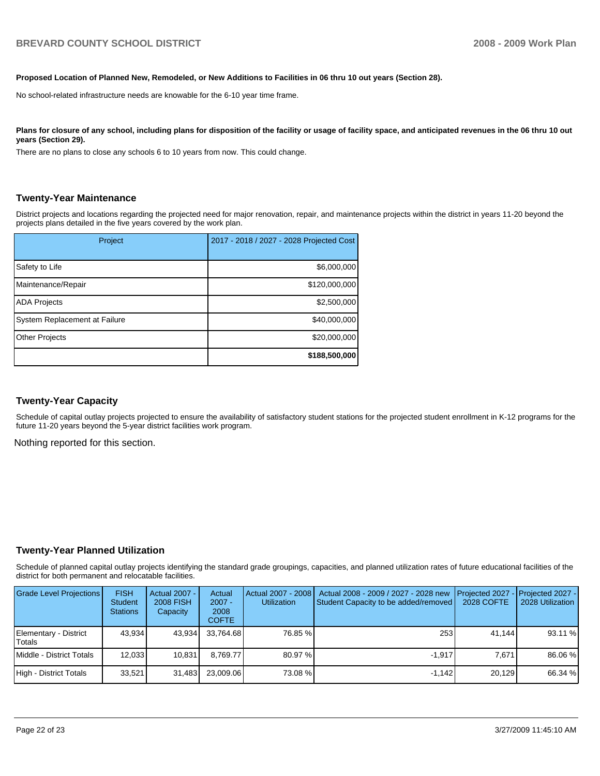#### **Proposed Location of Planned New, Remodeled, or New Additions to Facilities in 06 thru 10 out years (Section 28).**

No school-related infrastructure needs are knowable for the 6-10 year time frame.

#### Plans for closure of any school, including plans for disposition of the facility or usage of facility space, and anticipated revenues in the 06 thru 10 out **years (Section 29).**

There are no plans to close any schools 6 to 10 years from now. This could change.

#### **Twenty-Year Maintenance**

District projects and locations regarding the projected need for major renovation, repair, and maintenance projects within the district in years 11-20 beyond the projects plans detailed in the five years covered by the work plan.

| Project                       | 2017 - 2018 / 2027 - 2028 Projected Cost |
|-------------------------------|------------------------------------------|
| Safety to Life                | \$6,000,000                              |
| Maintenance/Repair            | \$120,000,000                            |
| <b>ADA Projects</b>           | \$2,500,000                              |
| System Replacement at Failure | \$40,000,000                             |
| <b>Other Projects</b>         | \$20,000,000                             |
|                               | \$188,500,000                            |

#### **Twenty-Year Capacity**

Schedule of capital outlay projects projected to ensure the availability of satisfactory student stations for the projected student enrollment in K-12 programs for the future 11-20 years beyond the 5-year district facilities work program.

Nothing reported for this section.

#### **Twenty-Year Planned Utilization**

Schedule of planned capital outlay projects identifying the standard grade groupings, capacities, and planned utilization rates of future educational facilities of the district for both permanent and relocatable facilities.

| <b>Grade Level Projections</b>  | <b>FISH</b><br><b>Student</b><br><b>Stations</b> | Actual 2007 -<br><b>2008 FISH</b><br>Capacity | Actual<br>$2007 -$<br>2008<br><b>COFTE</b> | Actual 2007 - 2008 I<br><b>Utilization</b> | Actual 2008 - 2009 / 2027 - 2028 new<br>Student Capacity to be added/removed | <b>I</b> Projected 2027 - <b>I</b> Projected 2027 -<br>2028 COFTE | 2028 Utilization |
|---------------------------------|--------------------------------------------------|-----------------------------------------------|--------------------------------------------|--------------------------------------------|------------------------------------------------------------------------------|-------------------------------------------------------------------|------------------|
| Elementary - District<br>Totals | 43.934                                           | 43.934                                        | 33.764.68                                  | 76.85 %                                    | 253                                                                          | 41.144                                                            | 93.11 %          |
| Middle - District Totals        | 12.033                                           | 10.831                                        | 8.769.77                                   | 80.97 %                                    | $-1.917$                                                                     | 7.671                                                             | 86.06 %          |
| High - District Totals          | 33.521                                           | 31,483                                        | 23.009.06                                  | 73.08 %                                    | $-1.142$                                                                     | 20.129                                                            | 66.34 %          |